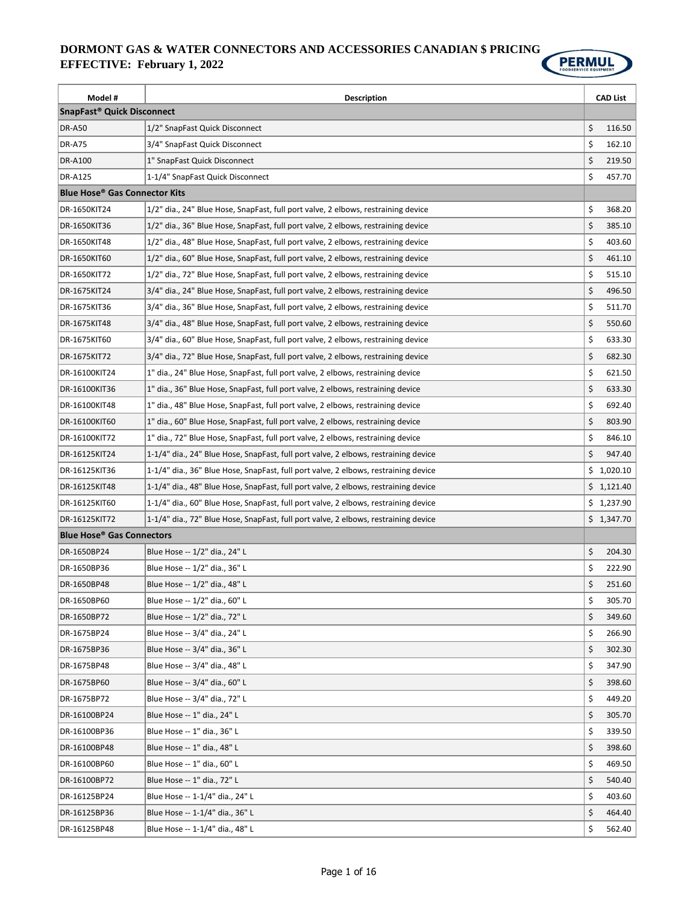

| Model #                                         | <b>Description</b>                                                                  | <b>CAD List</b> |
|-------------------------------------------------|-------------------------------------------------------------------------------------|-----------------|
| SnapFast <sup>®</sup> Quick Disconnect          |                                                                                     |                 |
| <b>DR-A50</b>                                   | 1/2" SnapFast Quick Disconnect                                                      | \$<br>116.50    |
| <b>DR-A75</b>                                   | 3/4" SnapFast Quick Disconnect                                                      | \$<br>162.10    |
| <b>DR-A100</b>                                  | 1" SnapFast Quick Disconnect                                                        | \$<br>219.50    |
| <b>DR-A125</b>                                  | 1-1/4" SnapFast Quick Disconnect                                                    | \$<br>457.70    |
| <b>Blue Hose<sup>®</sup> Gas Connector Kits</b> |                                                                                     |                 |
| DR-1650KIT24                                    | 1/2" dia., 24" Blue Hose, SnapFast, full port valve, 2 elbows, restraining device   | \$<br>368.20    |
| DR-1650KIT36                                    | 1/2" dia., 36" Blue Hose, SnapFast, full port valve, 2 elbows, restraining device   | \$<br>385.10    |
| DR-1650KIT48                                    | 1/2" dia., 48" Blue Hose, SnapFast, full port valve, 2 elbows, restraining device   | \$<br>403.60    |
| DR-1650KIT60                                    | 1/2" dia., 60" Blue Hose, SnapFast, full port valve, 2 elbows, restraining device   | \$<br>461.10    |
| DR-1650KIT72                                    | 1/2" dia., 72" Blue Hose, SnapFast, full port valve, 2 elbows, restraining device   | \$<br>515.10    |
| DR-1675KIT24                                    | 3/4" dia., 24" Blue Hose, SnapFast, full port valve, 2 elbows, restraining device   | \$<br>496.50    |
| DR-1675KIT36                                    | 3/4" dia., 36" Blue Hose, SnapFast, full port valve, 2 elbows, restraining device   | \$<br>511.70    |
| DR-1675KIT48                                    | 3/4" dia., 48" Blue Hose, SnapFast, full port valve, 2 elbows, restraining device   | \$<br>550.60    |
| DR-1675KIT60                                    | 3/4" dia., 60" Blue Hose, SnapFast, full port valve, 2 elbows, restraining device   | \$<br>633.30    |
| DR-1675KIT72                                    | 3/4" dia., 72" Blue Hose, SnapFast, full port valve, 2 elbows, restraining device   | \$<br>682.30    |
| DR-16100KIT24                                   | 1" dia., 24" Blue Hose, SnapFast, full port valve, 2 elbows, restraining device     | \$<br>621.50    |
| DR-16100KIT36                                   | 1" dia., 36" Blue Hose, SnapFast, full port valve, 2 elbows, restraining device     | \$<br>633.30    |
| DR-16100KIT48                                   | 1" dia., 48" Blue Hose, SnapFast, full port valve, 2 elbows, restraining device     | \$<br>692.40    |
| DR-16100KIT60                                   | 1" dia., 60" Blue Hose, SnapFast, full port valve, 2 elbows, restraining device     | \$<br>803.90    |
| DR-16100KIT72                                   | 1" dia., 72" Blue Hose, SnapFast, full port valve, 2 elbows, restraining device     | \$<br>846.10    |
| DR-16125KIT24                                   | 1-1/4" dia., 24" Blue Hose, SnapFast, full port valve, 2 elbows, restraining device | \$<br>947.40    |
| DR-16125KIT36                                   | 1-1/4" dia., 36" Blue Hose, SnapFast, full port valve, 2 elbows, restraining device | \$1,020.10      |
| DR-16125KIT48                                   | 1-1/4" dia., 48" Blue Hose, SnapFast, full port valve, 2 elbows, restraining device | \$1,121.40      |
| DR-16125KIT60                                   | 1-1/4" dia., 60" Blue Hose, SnapFast, full port valve, 2 elbows, restraining device | \$1,237.90      |
| DR-16125KIT72                                   | 1-1/4" dia., 72" Blue Hose, SnapFast, full port valve, 2 elbows, restraining device | \$1,347.70      |
| <b>Blue Hose<sup>®</sup> Gas Connectors</b>     |                                                                                     |                 |
| DR-1650BP24                                     | Blue Hose -- 1/2" dia., 24" L                                                       | \$<br>204.30    |
| DR-1650BP36                                     | Blue Hose -- 1/2" dia., 36" L                                                       | \$<br>222.90    |
| DR-1650BP48                                     | Blue Hose -- 1/2" dia., 48" L                                                       | \$<br>251.60    |
| DR-1650BP60                                     | Blue Hose -- 1/2" dia., 60" L                                                       | \$<br>305.70    |
| DR-1650BP72                                     | Blue Hose -- 1/2" dia., 72" L                                                       | \$<br>349.60    |
| DR-1675BP24                                     | Blue Hose -- 3/4" dia., 24" L                                                       | \$<br>266.90    |
| DR-1675BP36                                     | Blue Hose -- 3/4" dia., 36" L                                                       | \$<br>302.30    |
| DR-1675BP48                                     | Blue Hose -- 3/4" dia., 48" L                                                       | \$<br>347.90    |
| DR-1675BP60                                     | Blue Hose -- 3/4" dia., 60" L                                                       | \$<br>398.60    |
| DR-1675BP72                                     | Blue Hose -- 3/4" dia., 72" L                                                       | \$<br>449.20    |
| DR-16100BP24                                    | Blue Hose -- 1" dia., 24" L                                                         | \$<br>305.70    |
| DR-16100BP36                                    | Blue Hose -- 1" dia., 36" L                                                         | \$<br>339.50    |
| DR-16100BP48                                    | Blue Hose -- 1" dia., 48" L                                                         | \$<br>398.60    |
| DR-16100BP60                                    | Blue Hose -- 1" dia., 60" L                                                         | \$<br>469.50    |
| DR-16100BP72                                    | Blue Hose -- 1" dia., 72" L                                                         | \$<br>540.40    |
| DR-16125BP24                                    | Blue Hose -- 1-1/4" dia., 24" L                                                     | \$<br>403.60    |
| DR-16125BP36                                    | Blue Hose -- 1-1/4" dia., 36" L                                                     | \$<br>464.40    |
| DR-16125BP48                                    | Blue Hose -- 1-1/4" dia., 48" L                                                     | \$<br>562.40    |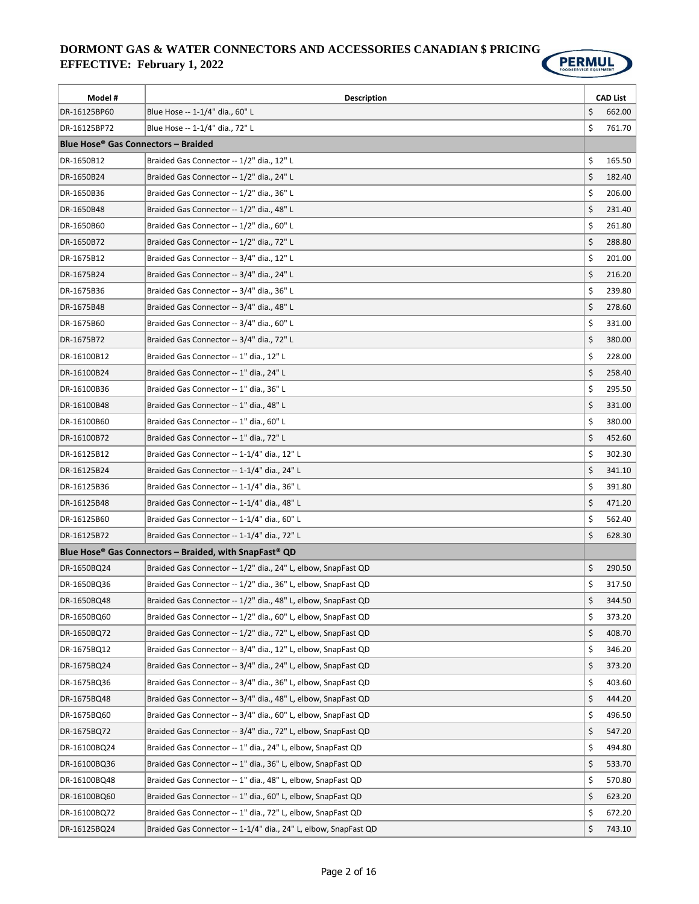

| Model #                                               | <b>Description</b>                                              | <b>CAD List</b> |
|-------------------------------------------------------|-----------------------------------------------------------------|-----------------|
| DR-16125BP60                                          | Blue Hose -- 1-1/4" dia., 60" L                                 | \$<br>662.00    |
| DR-16125BP72                                          | Blue Hose -- 1-1/4" dia., 72" L                                 | \$<br>761.70    |
| <b>Blue Hose<sup>®</sup> Gas Connectors - Braided</b> |                                                                 |                 |
| DR-1650B12                                            | Braided Gas Connector -- 1/2" dia., 12" L                       | \$<br>165.50    |
| DR-1650B24                                            | Braided Gas Connector -- 1/2" dia., 24" L                       | \$<br>182.40    |
| DR-1650B36                                            | Braided Gas Connector -- 1/2" dia., 36" L                       | \$<br>206.00    |
| DR-1650B48                                            | Braided Gas Connector -- 1/2" dia., 48" L                       | \$<br>231.40    |
| DR-1650B60                                            | Braided Gas Connector -- 1/2" dia., 60" L                       | \$<br>261.80    |
| DR-1650B72                                            | Braided Gas Connector -- 1/2" dia., 72" L                       | \$<br>288.80    |
| DR-1675B12                                            | Braided Gas Connector -- 3/4" dia., 12" L                       | \$<br>201.00    |
| DR-1675B24                                            | Braided Gas Connector -- 3/4" dia., 24" L                       | \$<br>216.20    |
| DR-1675B36                                            | Braided Gas Connector -- 3/4" dia., 36" L                       | \$<br>239.80    |
| DR-1675B48                                            | Braided Gas Connector -- 3/4" dia., 48" L                       | \$<br>278.60    |
| DR-1675B60                                            | Braided Gas Connector -- 3/4" dia., 60" L                       | \$<br>331.00    |
| DR-1675B72                                            | Braided Gas Connector -- 3/4" dia., 72" L                       | \$<br>380.00    |
| DR-16100B12                                           | Braided Gas Connector -- 1" dia., 12" L                         | \$<br>228.00    |
| DR-16100B24                                           | Braided Gas Connector -- 1" dia., 24" L                         | \$<br>258.40    |
| DR-16100B36                                           | Braided Gas Connector -- 1" dia., 36" L                         | \$<br>295.50    |
| DR-16100B48                                           | Braided Gas Connector -- 1" dia., 48" L                         | \$<br>331.00    |
| DR-16100B60                                           | Braided Gas Connector -- 1" dia., 60" L                         | \$<br>380.00    |
| DR-16100B72                                           | Braided Gas Connector -- 1" dia., 72" L                         | \$<br>452.60    |
| DR-16125B12                                           | Braided Gas Connector -- 1-1/4" dia., 12" L                     | \$<br>302.30    |
| DR-16125B24                                           | Braided Gas Connector -- 1-1/4" dia., 24" L                     | \$<br>341.10    |
| DR-16125B36                                           | Braided Gas Connector -- 1-1/4" dia., 36" L                     | \$<br>391.80    |
| DR-16125B48                                           | Braided Gas Connector -- 1-1/4" dia., 48" L                     | \$<br>471.20    |
| DR-16125B60                                           | Braided Gas Connector -- 1-1/4" dia., 60" L                     | \$<br>562.40    |
| DR-16125B72                                           | Braided Gas Connector -- 1-1/4" dia., 72" L                     | \$<br>628.30    |
|                                                       | Blue Hose® Gas Connectors – Braided, with SnapFast® QD          |                 |
| DR-1650BQ24                                           | Braided Gas Connector -- 1/2" dia., 24" L, elbow, SnapFast QD   | \$<br>290.50    |
| DR-1650BQ36                                           | Braided Gas Connector -- 1/2" dia., 36" L, elbow, SnapFast QD   | \$<br>317.50    |
| DR-1650BQ48                                           | Braided Gas Connector -- 1/2" dia., 48" L, elbow, SnapFast QD   | \$<br>344.50    |
| DR-1650BQ60                                           | Braided Gas Connector -- 1/2" dia., 60" L, elbow, SnapFast QD   | \$<br>373.20    |
| DR-1650BQ72                                           | Braided Gas Connector -- 1/2" dia., 72" L, elbow, SnapFast QD   | \$<br>408.70    |
| DR-1675BQ12                                           | Braided Gas Connector -- 3/4" dia., 12" L, elbow, SnapFast QD   | \$<br>346.20    |
| DR-1675BQ24                                           | Braided Gas Connector -- 3/4" dia., 24" L, elbow, SnapFast QD   | \$<br>373.20    |
| DR-1675BQ36                                           | Braided Gas Connector -- 3/4" dia., 36" L, elbow, SnapFast QD   | \$<br>403.60    |
| DR-1675BQ48                                           | Braided Gas Connector -- 3/4" dia., 48" L, elbow, SnapFast QD   | \$<br>444.20    |
| DR-1675BQ60                                           | Braided Gas Connector -- 3/4" dia., 60" L, elbow, SnapFast QD   | \$<br>496.50    |
| DR-1675BQ72                                           | Braided Gas Connector -- 3/4" dia., 72" L, elbow, SnapFast QD   | \$<br>547.20    |
| DR-16100BQ24                                          | Braided Gas Connector -- 1" dia., 24" L, elbow, SnapFast QD     | \$<br>494.80    |
| DR-16100BQ36                                          | Braided Gas Connector -- 1" dia., 36" L, elbow, SnapFast QD     | \$<br>533.70    |
| DR-16100BQ48                                          | Braided Gas Connector -- 1" dia., 48" L, elbow, SnapFast QD     | \$<br>570.80    |
| DR-16100BQ60                                          | Braided Gas Connector -- 1" dia., 60" L, elbow, SnapFast QD     | \$<br>623.20    |
| DR-16100BQ72                                          | Braided Gas Connector -- 1" dia., 72" L, elbow, SnapFast QD     | \$<br>672.20    |
| DR-16125BQ24                                          | Braided Gas Connector -- 1-1/4" dia., 24" L, elbow, SnapFast QD | \$<br>743.10    |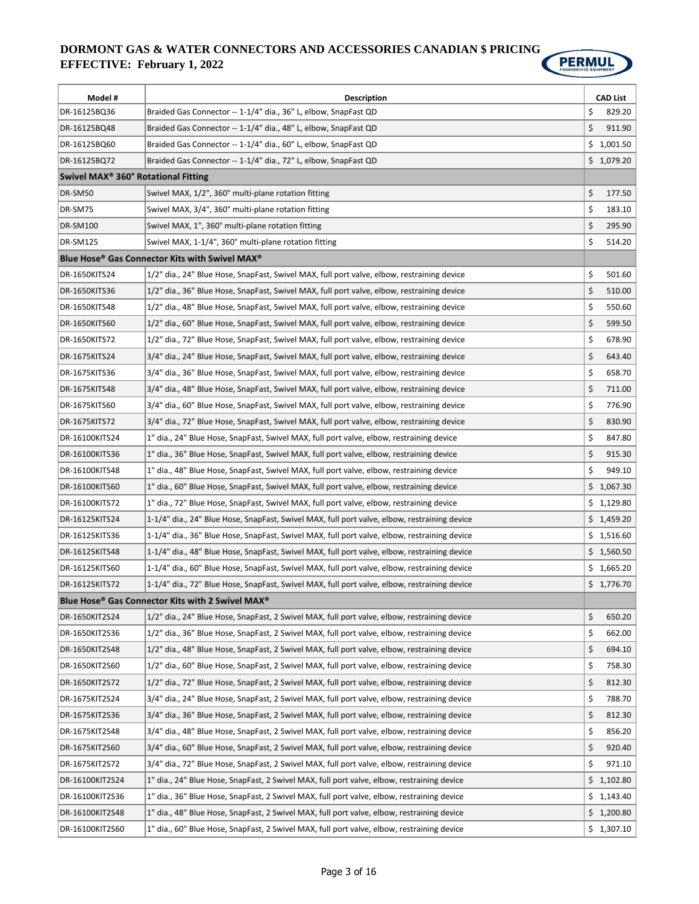

| Model #                                         | <b>Description</b>                                                                           | <b>CAD List</b> |
|-------------------------------------------------|----------------------------------------------------------------------------------------------|-----------------|
| DR-16125BQ36                                    | Braided Gas Connector -- 1-1/4" dia., 36" L, elbow, SnapFast QD                              | \$<br>829.20    |
| DR-16125BQ48                                    | Braided Gas Connector -- 1-1/4" dia., 48" L, elbow, SnapFast QD                              | \$<br>911.90    |
| DR-16125BQ60                                    | Braided Gas Connector -- 1-1/4" dia., 60" L, elbow, SnapFast QD                              | \$1,001.50      |
| DR-16125BQ72                                    | Braided Gas Connector -- 1-1/4" dia., 72" L, elbow, SnapFast QD                              | \$1,079.20      |
| Swivel MAX <sup>®</sup> 360° Rotational Fitting |                                                                                              |                 |
| DR-SM50                                         | Swivel MAX, 1/2", 360° multi-plane rotation fitting                                          | \$<br>177.50    |
| DR-SM75                                         | Swivel MAX, 3/4", 360° multi-plane rotation fitting                                          | \$<br>183.10    |
| <b>DR-SM100</b>                                 | Swivel MAX, 1", 360° multi-plane rotation fitting                                            | \$<br>295.90    |
| DR-SM125                                        | Swivel MAX, 1-1/4", 360° multi-plane rotation fitting                                        | \$<br>514.20    |
|                                                 | Blue Hose® Gas Connector Kits with Swivel MAX®                                               |                 |
| <b>DR-1650KITS24</b>                            | 1/2" dia., 24" Blue Hose, SnapFast, Swivel MAX, full port valve, elbow, restraining device   | \$<br>501.60    |
| DR-1650KITS36                                   | 1/2" dia., 36" Blue Hose, SnapFast, Swivel MAX, full port valve, elbow, restraining device   | \$<br>510.00    |
| DR-1650KITS48                                   | 1/2" dia., 48" Blue Hose, SnapFast, Swivel MAX, full port valve, elbow, restraining device   | \$<br>550.60    |
| DR-1650KITS60                                   | 1/2" dia., 60" Blue Hose, SnapFast, Swivel MAX, full port valve, elbow, restraining device   | \$<br>599.50    |
| <b>DR-1650KITS72</b>                            | 1/2" dia., 72" Blue Hose, SnapFast, Swivel MAX, full port valve, elbow, restraining device   | \$<br>678.90    |
| DR-1675KITS24                                   | 3/4" dia., 24" Blue Hose, SnapFast, Swivel MAX, full port valve, elbow, restraining device   | \$<br>643.40    |
| DR-1675KITS36                                   | 3/4" dia., 36" Blue Hose, SnapFast, Swivel MAX, full port valve, elbow, restraining device   | \$<br>658.70    |
| DR-1675KITS48                                   | 3/4" dia., 48" Blue Hose, SnapFast, Swivel MAX, full port valve, elbow, restraining device   | \$<br>711.00    |
| DR-1675KITS60                                   | 3/4" dia., 60" Blue Hose, SnapFast, Swivel MAX, full port valve, elbow, restraining device   | \$<br>776.90    |
| DR-1675KITS72                                   | 3/4" dia., 72" Blue Hose, SnapFast, Swivel MAX, full port valve, elbow, restraining device   | \$<br>830.90    |
| DR-16100KITS24                                  | 1" dia., 24" Blue Hose, SnapFast, Swivel MAX, full port valve, elbow, restraining device     | \$<br>847.80    |
| DR-16100KITS36                                  | 1" dia., 36" Blue Hose, SnapFast, Swivel MAX, full port valve, elbow, restraining device     | \$<br>915.30    |
| DR-16100KITS48                                  | 1" dia., 48" Blue Hose, SnapFast, Swivel MAX, full port valve, elbow, restraining device     | \$<br>949.10    |
| DR-16100KITS60                                  | 1" dia., 60" Blue Hose, SnapFast, Swivel MAX, full port valve, elbow, restraining device     | \$1,067.30      |
| DR-16100KITS72                                  | 1" dia., 72" Blue Hose, SnapFast, Swivel MAX, full port valve, elbow, restraining device     | \$1,129.80      |
| DR-16125KITS24                                  | 1-1/4" dia., 24" Blue Hose, SnapFast, Swivel MAX, full port valve, elbow, restraining device | \$1,459.20      |
| DR-16125KITS36                                  | 1-1/4" dia., 36" Blue Hose, SnapFast, Swivel MAX, full port valve, elbow, restraining device | \$1,516.60      |
| DR-16125KITS48                                  | 1-1/4" dia., 48" Blue Hose, SnapFast, Swivel MAX, full port valve, elbow, restraining device | \$1,560.50      |
| DR-16125KITS60                                  | 1-1/4" dia., 60" Blue Hose, SnapFast, Swivel MAX, full port valve, elbow, restraining device | \$1,665.20      |
| DR-16125KITS72                                  | 1-1/4" dia., 72" Blue Hose, SnapFast, Swivel MAX, full port valve, elbow, restraining device | \$1,776.70      |
|                                                 | Blue Hose® Gas Connector Kits with 2 Swivel MAX®                                             |                 |
| DR-1650KIT2S24                                  | 1/2" dia., 24" Blue Hose, SnapFast, 2 Swivel MAX, full port valve, elbow, restraining device | \$<br>650.20    |
| DR-1650KIT2S36                                  | 1/2" dia., 36" Blue Hose, SnapFast, 2 Swivel MAX, full port valve, elbow, restraining device | \$<br>662.00    |
| DR-1650KIT2S48                                  | 1/2" dia., 48" Blue Hose, SnapFast, 2 Swivel MAX, full port valve, elbow, restraining device | \$<br>694.10    |
| DR-1650KIT2S60                                  | 1/2" dia., 60" Blue Hose, SnapFast, 2 Swivel MAX, full port valve, elbow, restraining device | \$<br>758.30    |
| DR-1650KIT2S72                                  | 1/2" dia., 72" Blue Hose, SnapFast, 2 Swivel MAX, full port valve, elbow, restraining device | \$<br>812.30    |
| DR-1675KIT2S24                                  | 3/4" dia., 24" Blue Hose, SnapFast, 2 Swivel MAX, full port valve, elbow, restraining device | \$<br>788.70    |
| DR-1675KIT2S36                                  | 3/4" dia., 36" Blue Hose, SnapFast, 2 Swivel MAX, full port valve, elbow, restraining device | \$<br>812.30    |
| DR-1675KIT2S48                                  | 3/4" dia., 48" Blue Hose, SnapFast, 2 Swivel MAX, full port valve, elbow, restraining device | \$<br>856.20    |
| DR-1675KIT2S60                                  | 3/4" dia., 60" Blue Hose, SnapFast, 2 Swivel MAX, full port valve, elbow, restraining device | \$<br>920.40    |
| DR-1675KIT2S72                                  | 3/4" dia., 72" Blue Hose, SnapFast, 2 Swivel MAX, full port valve, elbow, restraining device | \$<br>971.10    |
| DR-16100KIT2S24                                 | 1" dia., 24" Blue Hose, SnapFast, 2 Swivel MAX, full port valve, elbow, restraining device   | \$1,102.80      |
| DR-16100KIT2S36                                 | 1" dia., 36" Blue Hose, SnapFast, 2 Swivel MAX, full port valve, elbow, restraining device   | \$<br>1,143.40  |
| DR-16100KIT2S48                                 | 1" dia., 48" Blue Hose, SnapFast, 2 Swivel MAX, full port valve, elbow, restraining device   | \$1,200.80      |
| DR-16100KIT2S60                                 | 1" dia., 60" Blue Hose, SnapFast, 2 Swivel MAX, full port valve, elbow, restraining device   | \$1,307.10      |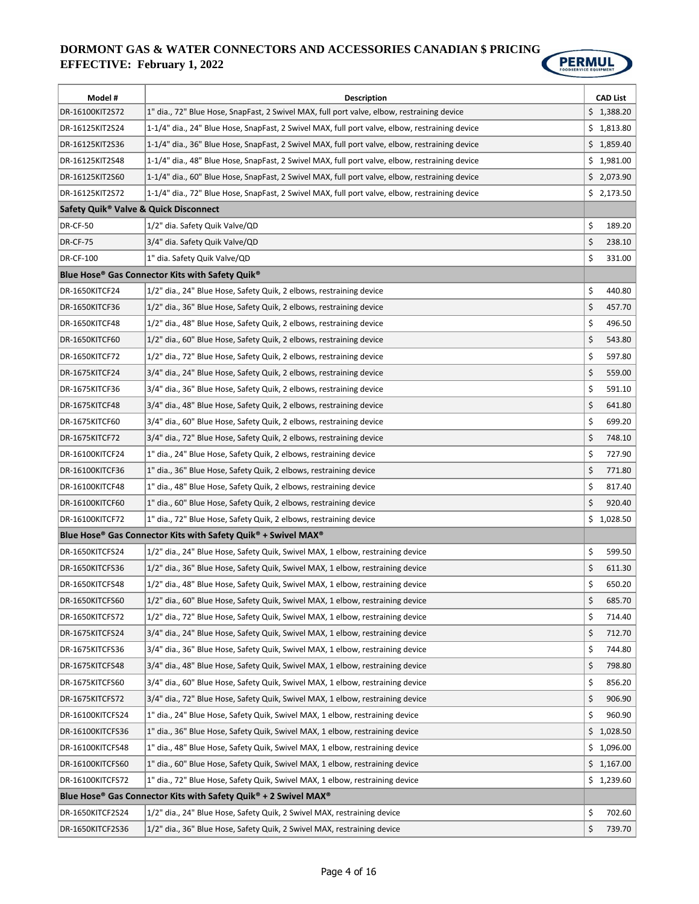

| Model #                               | <b>Description</b>                                                                             | <b>CAD List</b> |
|---------------------------------------|------------------------------------------------------------------------------------------------|-----------------|
| DR-16100KIT2S72                       | 1" dia., 72" Blue Hose, SnapFast, 2 Swivel MAX, full port valve, elbow, restraining device     | \$1,388.20      |
| DR-16125KIT2S24                       | 1-1/4" dia., 24" Blue Hose, SnapFast, 2 Swivel MAX, full port valve, elbow, restraining device | \$1,813.80      |
| DR-16125KIT2S36                       | 1-1/4" dia., 36" Blue Hose, SnapFast, 2 Swivel MAX, full port valve, elbow, restraining device | \$1,859.40      |
| DR-16125KIT2S48                       | 1-1/4" dia., 48" Blue Hose, SnapFast, 2 Swivel MAX, full port valve, elbow, restraining device | \$1,981.00      |
| DR-16125KIT2S60                       | 1-1/4" dia., 60" Blue Hose, SnapFast, 2 Swivel MAX, full port valve, elbow, restraining device | \$2,073.90      |
| DR-16125KIT2S72                       | 1-1/4" dia., 72" Blue Hose, SnapFast, 2 Swivel MAX, full port valve, elbow, restraining device | \$2,173.50      |
| Safety Quik® Valve & Quick Disconnect |                                                                                                |                 |
| <b>DR-CF-50</b>                       | 1/2" dia. Safety Quik Valve/QD                                                                 | \$<br>189.20    |
| <b>DR-CF-75</b>                       | 3/4" dia. Safety Quik Valve/QD                                                                 | \$<br>238.10    |
| <b>DR-CF-100</b>                      | 1" dia. Safety Quik Valve/QD                                                                   | \$<br>331.00    |
|                                       | Blue Hose® Gas Connector Kits with Safety Quik®                                                |                 |
| DR-1650KITCF24                        | 1/2" dia., 24" Blue Hose, Safety Quik, 2 elbows, restraining device                            | \$<br>440.80    |
| DR-1650KITCF36                        | 1/2" dia., 36" Blue Hose, Safety Quik, 2 elbows, restraining device                            | \$<br>457.70    |
| DR-1650KITCF48                        | 1/2" dia., 48" Blue Hose, Safety Quik, 2 elbows, restraining device                            | \$<br>496.50    |
| DR-1650KITCF60                        | 1/2" dia., 60" Blue Hose, Safety Quik, 2 elbows, restraining device                            | \$<br>543.80    |
| DR-1650KITCF72                        | 1/2" dia., 72" Blue Hose, Safety Quik, 2 elbows, restraining device                            | \$<br>597.80    |
| DR-1675KITCF24                        | 3/4" dia., 24" Blue Hose, Safety Quik, 2 elbows, restraining device                            | \$<br>559.00    |
| DR-1675KITCF36                        | 3/4" dia., 36" Blue Hose, Safety Quik, 2 elbows, restraining device                            | \$<br>591.10    |
| DR-1675KITCF48                        | 3/4" dia., 48" Blue Hose, Safety Quik, 2 elbows, restraining device                            | \$<br>641.80    |
| DR-1675KITCF60                        | 3/4" dia., 60" Blue Hose, Safety Quik, 2 elbows, restraining device                            | \$<br>699.20    |
| DR-1675KITCF72                        | 3/4" dia., 72" Blue Hose, Safety Quik, 2 elbows, restraining device                            | \$<br>748.10    |
| DR-16100KITCF24                       | 1" dia., 24" Blue Hose, Safety Quik, 2 elbows, restraining device                              | \$<br>727.90    |
| DR-16100KITCF36                       | 1" dia., 36" Blue Hose, Safety Quik, 2 elbows, restraining device                              | \$<br>771.80    |
| DR-16100KITCF48                       | 1" dia., 48" Blue Hose, Safety Quik, 2 elbows, restraining device                              | \$<br>817.40    |
| DR-16100KITCF60                       | 1" dia., 60" Blue Hose, Safety Quik, 2 elbows, restraining device                              | \$<br>920.40    |
| DR-16100KITCF72                       | 1" dia., 72" Blue Hose, Safety Quik, 2 elbows, restraining device                              | \$1,028.50      |
|                                       | Blue Hose® Gas Connector Kits with Safety Quik® + Swivel MAX®                                  |                 |
| DR-1650KITCFS24                       | 1/2" dia., 24" Blue Hose, Safety Quik, Swivel MAX, 1 elbow, restraining device                 | \$<br>599.50    |
| DR-1650KITCFS36                       | 1/2" dia., 36" Blue Hose, Safety Quik, Swivel MAX, 1 elbow, restraining device                 | \$<br>611.30    |
| DR-1650KITCFS48                       | 1/2" dia., 48" Blue Hose, Safety Quik, Swivel MAX, 1 elbow, restraining device                 | \$<br>650.20    |
| DR-1650KITCFS60                       | $ 1/2$ " dia., 60" Blue Hose, Safety Quik, Swivel MAX, 1 elbow, restraining device             | \$<br>685.70    |
| DR-1650KITCFS72                       | 1/2" dia., 72" Blue Hose, Safety Quik, Swivel MAX, 1 elbow, restraining device                 | \$<br>714.40    |
| DR-1675KITCFS24                       | 3/4" dia., 24" Blue Hose, Safety Quik, Swivel MAX, 1 elbow, restraining device                 | \$<br>712.70    |
| DR-1675KITCFS36                       | 3/4" dia., 36" Blue Hose, Safety Quik, Swivel MAX, 1 elbow, restraining device                 | \$<br>744.80    |
| DR-1675KITCFS48                       | 3/4" dia., 48" Blue Hose, Safety Quik, Swivel MAX, 1 elbow, restraining device                 | \$<br>798.80    |
| DR-1675KITCFS60                       | 3/4" dia., 60" Blue Hose, Safety Quik, Swivel MAX, 1 elbow, restraining device                 | \$<br>856.20    |
| DR-1675KITCFS72                       | 3/4" dia., 72" Blue Hose, Safety Quik, Swivel MAX, 1 elbow, restraining device                 | \$<br>906.90    |
| DR-16100KITCFS24                      | 1" dia., 24" Blue Hose, Safety Quik, Swivel MAX, 1 elbow, restraining device                   | \$<br>960.90    |
| DR-16100KITCFS36                      | 1" dia., 36" Blue Hose, Safety Quik, Swivel MAX, 1 elbow, restraining device                   | \$<br>1,028.50  |
| DR-16100KITCFS48                      | 1" dia., 48" Blue Hose, Safety Quik, Swivel MAX, 1 elbow, restraining device                   | \$1,096.00      |
| DR-16100KITCFS60                      | 1" dia., 60" Blue Hose, Safety Quik, Swivel MAX, 1 elbow, restraining device                   | \$1,167.00      |
| DR-16100KITCFS72                      | 1" dia., 72" Blue Hose, Safety Quik, Swivel MAX, 1 elbow, restraining device                   | \$1,239.60      |
|                                       | Blue Hose® Gas Connector Kits with Safety Quik® + 2 Swivel MAX®                                |                 |
| DR-1650KITCF2S24                      | 1/2" dia., 24" Blue Hose, Safety Quik, 2 Swivel MAX, restraining device                        | \$<br>702.60    |
| DR-1650KITCF2S36                      | 1/2" dia., 36" Blue Hose, Safety Quik, 2 Swivel MAX, restraining device                        | \$<br>739.70    |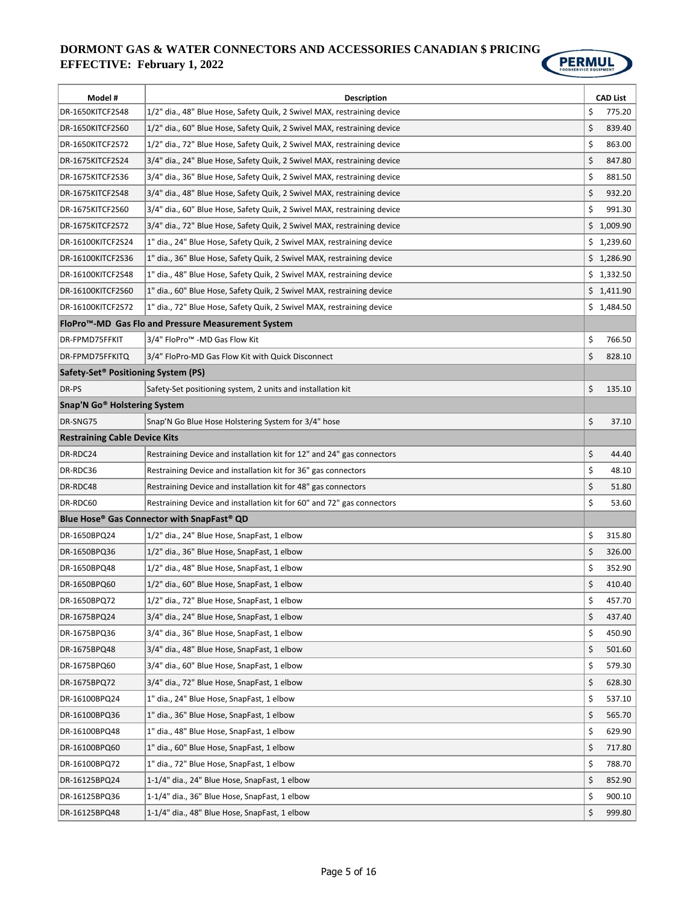

| Model #                                         | <b>Description</b>                                                      | <b>CAD List</b> |
|-------------------------------------------------|-------------------------------------------------------------------------|-----------------|
| DR-1650KITCF2S48                                | 1/2" dia., 48" Blue Hose, Safety Quik, 2 Swivel MAX, restraining device | \$<br>775.20    |
| DR-1650KITCF2S60                                | 1/2" dia., 60" Blue Hose, Safety Quik, 2 Swivel MAX, restraining device | \$<br>839.40    |
| DR-1650KITCF2S72                                | 1/2" dia., 72" Blue Hose, Safety Quik, 2 Swivel MAX, restraining device | \$<br>863.00    |
| DR-1675KITCF2S24                                | 3/4" dia., 24" Blue Hose, Safety Quik, 2 Swivel MAX, restraining device | \$<br>847.80    |
| DR-1675KITCF2S36                                | 3/4" dia., 36" Blue Hose, Safety Quik, 2 Swivel MAX, restraining device | \$<br>881.50    |
| DR-1675KITCF2S48                                | 3/4" dia., 48" Blue Hose, Safety Quik, 2 Swivel MAX, restraining device | \$<br>932.20    |
| DR-1675KITCF2S60                                | 3/4" dia., 60" Blue Hose, Safety Quik, 2 Swivel MAX, restraining device | \$<br>991.30    |
| DR-1675KITCF2S72                                | 3/4" dia., 72" Blue Hose, Safety Quik, 2 Swivel MAX, restraining device | \$1,009.90      |
| DR-16100KITCF2S24                               | 1" dia., 24" Blue Hose, Safety Quik, 2 Swivel MAX, restraining device   | \$1,239.60      |
| DR-16100KITCF2S36                               | 1" dia., 36" Blue Hose, Safety Quik, 2 Swivel MAX, restraining device   | \$1,286.90      |
| DR-16100KITCF2S48                               | 1" dia., 48" Blue Hose, Safety Quik, 2 Swivel MAX, restraining device   | \$1,332.50      |
| DR-16100KITCF2S60                               | 1" dia., 60" Blue Hose, Safety Quik, 2 Swivel MAX, restraining device   | \$1,411.90      |
| DR-16100KITCF2S72                               | 1" dia., 72" Blue Hose, Safety Quik, 2 Swivel MAX, restraining device   | \$1,484.50      |
|                                                 | FloPro™-MD Gas Flo and Pressure Measurement System                      |                 |
| DR-FPMD75FFKIT                                  | 3/4" FloPro <sup>™</sup> -MD Gas Flow Kit                               | \$<br>766.50    |
| DR-FPMD75FFKITQ                                 | 3/4" FloPro-MD Gas Flow Kit with Quick Disconnect                       | \$<br>828.10    |
|                                                 |                                                                         |                 |
| Safety-Set <sup>®</sup> Positioning System (PS) |                                                                         |                 |
| DR-PS                                           | Safety-Set positioning system, 2 units and installation kit             | \$<br>135.10    |
| Snap'N Go <sup>®</sup> Holstering System        |                                                                         |                 |
| DR-SNG75                                        | Snap'N Go Blue Hose Holstering System for 3/4" hose                     | \$<br>37.10     |
| <b>Restraining Cable Device Kits</b>            |                                                                         |                 |
| DR-RDC24                                        | Restraining Device and installation kit for 12" and 24" gas connectors  | \$<br>44.40     |
| DR-RDC36                                        | Restraining Device and installation kit for 36" gas connectors          | \$<br>48.10     |
| DR-RDC48                                        | Restraining Device and installation kit for 48" gas connectors          | \$<br>51.80     |
| DR-RDC60                                        | Restraining Device and installation kit for 60" and 72" gas connectors  | \$<br>53.60     |
|                                                 | Blue Hose® Gas Connector with SnapFast® QD                              |                 |
| DR-1650BPQ24                                    | 1/2" dia., 24" Blue Hose, SnapFast, 1 elbow                             | \$<br>315.80    |
| DR-1650BPQ36                                    | 1/2" dia., 36" Blue Hose, SnapFast, 1 elbow                             | \$<br>326.00    |
| DR-1650BPQ48                                    | 1/2" dia., 48" Blue Hose, SnapFast, 1 elbow                             | \$<br>352.90    |
| DR-1650BPQ60                                    | 1/2" dia., 60" Blue Hose, SnapFast, 1 elbow                             | \$<br>410.40    |
| DR-1650BPQ72                                    | 1/2" dia., 72" Blue Hose, SnapFast, 1 elbow                             | \$<br>457.70    |
| DR-1675BPQ24                                    | 3/4" dia., 24" Blue Hose, SnapFast, 1 elbow                             | \$<br>437.40    |
| DR-1675BPQ36                                    | 3/4" dia., 36" Blue Hose, SnapFast, 1 elbow                             | \$<br>450.90    |
| DR-1675BPQ48                                    | 3/4" dia., 48" Blue Hose, SnapFast, 1 elbow                             | \$<br>501.60    |
| DR-1675BPQ60                                    | 3/4" dia., 60" Blue Hose, SnapFast, 1 elbow                             | \$<br>579.30    |
| DR-1675BPQ72                                    | 3/4" dia., 72" Blue Hose, SnapFast, 1 elbow                             | \$<br>628.30    |
| DR-16100BPQ24                                   | 1" dia., 24" Blue Hose, SnapFast, 1 elbow                               | \$<br>537.10    |
| DR-16100BPQ36                                   | 1" dia., 36" Blue Hose, SnapFast, 1 elbow                               | \$<br>565.70    |
| DR-16100BPQ48                                   | 1" dia., 48" Blue Hose, SnapFast, 1 elbow                               | \$<br>629.90    |
| DR-16100BPQ60                                   | 1" dia., 60" Blue Hose, SnapFast, 1 elbow                               | \$<br>717.80    |
| DR-16100BPQ72                                   | 1" dia., 72" Blue Hose, SnapFast, 1 elbow                               | \$<br>788.70    |
| DR-16125BPQ24                                   | 1-1/4" dia., 24" Blue Hose, SnapFast, 1 elbow                           | \$<br>852.90    |
| DR-16125BPQ36                                   | 1-1/4" dia., 36" Blue Hose, SnapFast, 1 elbow                           | \$<br>900.10    |
| DR-16125BPQ48                                   | 1-1/4" dia., 48" Blue Hose, SnapFast, 1 elbow                           | \$<br>999.80    |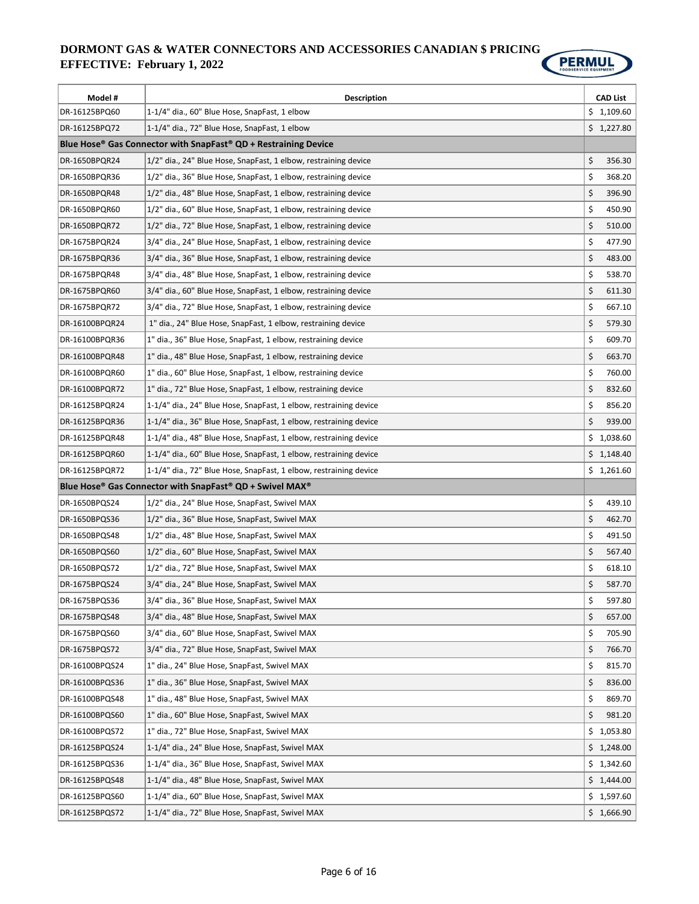

| Model #        | <b>Description</b>                                                | <b>CAD List</b> |
|----------------|-------------------------------------------------------------------|-----------------|
| DR-16125BPQ60  | 1-1/4" dia., 60" Blue Hose, SnapFast, 1 elbow                     | \$1,109.60      |
| DR-16125BPQ72  | 1-1/4" dia., 72" Blue Hose, SnapFast, 1 elbow                     | \$1,227.80      |
|                | Blue Hose® Gas Connector with SnapFast® QD + Restraining Device   |                 |
| DR-1650BPQR24  | 1/2" dia., 24" Blue Hose, SnapFast, 1 elbow, restraining device   | \$<br>356.30    |
| DR-1650BPQR36  | 1/2" dia., 36" Blue Hose, SnapFast, 1 elbow, restraining device   | \$<br>368.20    |
| DR-1650BPQR48  | 1/2" dia., 48" Blue Hose, SnapFast, 1 elbow, restraining device   | \$<br>396.90    |
| DR-1650BPQR60  | 1/2" dia., 60" Blue Hose, SnapFast, 1 elbow, restraining device   | \$<br>450.90    |
| DR-1650BPQR72  | 1/2" dia., 72" Blue Hose, SnapFast, 1 elbow, restraining device   | \$<br>510.00    |
| DR-1675BPQR24  | 3/4" dia., 24" Blue Hose, SnapFast, 1 elbow, restraining device   | \$<br>477.90    |
| DR-1675BPQR36  | 3/4" dia., 36" Blue Hose, SnapFast, 1 elbow, restraining device   | \$<br>483.00    |
| DR-1675BPQR48  | 3/4" dia., 48" Blue Hose, SnapFast, 1 elbow, restraining device   | \$<br>538.70    |
| DR-1675BPQR60  | 3/4" dia., 60" Blue Hose, SnapFast, 1 elbow, restraining device   | \$<br>611.30    |
| DR-1675BPQR72  | 3/4" dia., 72" Blue Hose, SnapFast, 1 elbow, restraining device   | \$<br>667.10    |
| DR-16100BPQR24 | 1" dia., 24" Blue Hose, SnapFast, 1 elbow, restraining device     | \$<br>579.30    |
| DR-16100BPQR36 | 1" dia., 36" Blue Hose, SnapFast, 1 elbow, restraining device     | \$<br>609.70    |
| DR-16100BPQR48 | 1" dia., 48" Blue Hose, SnapFast, 1 elbow, restraining device     | \$<br>663.70    |
| DR-16100BPQR60 | 1" dia., 60" Blue Hose, SnapFast, 1 elbow, restraining device     | \$<br>760.00    |
| DR-16100BPQR72 | 1" dia., 72" Blue Hose, SnapFast, 1 elbow, restraining device     | \$<br>832.60    |
| DR-16125BPQR24 | 1-1/4" dia., 24" Blue Hose, SnapFast, 1 elbow, restraining device | \$<br>856.20    |
| DR-16125BPQR36 | 1-1/4" dia., 36" Blue Hose, SnapFast, 1 elbow, restraining device | \$<br>939.00    |
| DR-16125BPQR48 | 1-1/4" dia., 48" Blue Hose, SnapFast, 1 elbow, restraining device | \$1,038.60      |
| DR-16125BPQR60 | 1-1/4" dia., 60" Blue Hose, SnapFast, 1 elbow, restraining device | \$1,148.40      |
| DR-16125BPQR72 | 1-1/4" dia., 72" Blue Hose, SnapFast, 1 elbow, restraining device | \$1,261.60      |
|                | Blue Hose® Gas Connector with SnapFast® QD + Swivel MAX®          |                 |
| DR-1650BPQS24  | 1/2" dia., 24" Blue Hose, SnapFast, Swivel MAX                    | \$<br>439.10    |
| DR-1650BPQS36  | 1/2" dia., 36" Blue Hose, SnapFast, Swivel MAX                    | \$<br>462.70    |
| DR-1650BPQS48  | 1/2" dia., 48" Blue Hose, SnapFast, Swivel MAX                    | \$<br>491.50    |
| DR-1650BPQS60  | 1/2" dia., 60" Blue Hose, SnapFast, Swivel MAX                    | \$<br>567.40    |
| DR-1650BPQS72  | 1/2" dia., 72" Blue Hose, SnapFast, Swivel MAX                    | \$<br>618.10    |
| DR-1675BPQS24  | 3/4" dia., 24" Blue Hose, SnapFast, Swivel MAX                    | \$<br>587.70    |
| DR-1675BPQS36  | 3/4" dia., 36" Blue Hose, SnapFast, Swivel MAX                    | \$<br>597.80    |
| DR-1675BPQS48  | 3/4" dia., 48" Blue Hose, SnapFast, Swivel MAX                    | \$<br>657.00    |
| DR-1675BPQS60  | 3/4" dia., 60" Blue Hose, SnapFast, Swivel MAX                    | \$<br>705.90    |
| DR-1675BPQS72  | 3/4" dia., 72" Blue Hose, SnapFast, Swivel MAX                    | \$<br>766.70    |
| DR-16100BPQS24 | 1" dia., 24" Blue Hose, SnapFast, Swivel MAX                      | \$<br>815.70    |
| DR-16100BPQS36 | 1" dia., 36" Blue Hose, SnapFast, Swivel MAX                      | \$<br>836.00    |
| DR-16100BPQS48 | 1" dia., 48" Blue Hose, SnapFast, Swivel MAX                      | \$<br>869.70    |
| DR-16100BPQS60 | 1" dia., 60" Blue Hose, SnapFast, Swivel MAX                      | \$<br>981.20    |
| DR-16100BPQS72 | 1" dia., 72" Blue Hose, SnapFast, Swivel MAX                      | \$1,053.80      |
| DR-16125BPQS24 | 1-1/4" dia., 24" Blue Hose, SnapFast, Swivel MAX                  | \$1,248.00      |
| DR-16125BPQS36 | 1-1/4" dia., 36" Blue Hose, SnapFast, Swivel MAX                  | \$1,342.60      |
| DR-16125BPQS48 | 1-1/4" dia., 48" Blue Hose, SnapFast, Swivel MAX                  | \$1,444.00      |
| DR-16125BPQS60 | 1-1/4" dia., 60" Blue Hose, SnapFast, Swivel MAX                  | \$1,597.60      |
| DR-16125BPQS72 | 1-1/4" dia., 72" Blue Hose, SnapFast, Swivel MAX                  | \$1,666.90      |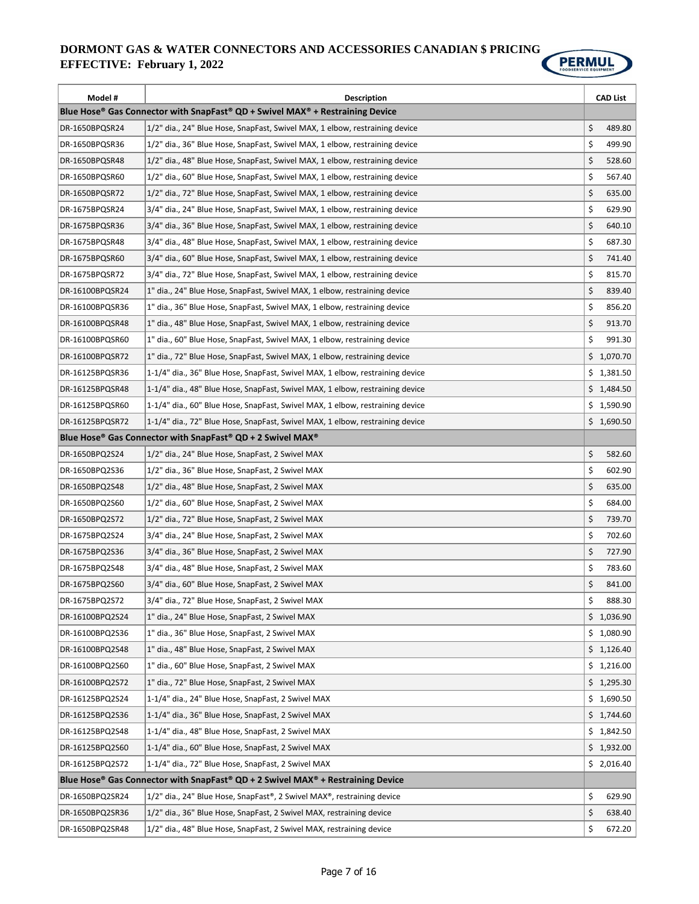

| Model #         | <b>Description</b>                                                                                                |    | <b>CAD List</b> |
|-----------------|-------------------------------------------------------------------------------------------------------------------|----|-----------------|
|                 | Blue Hose <sup>®</sup> Gas Connector with SnapFast <sup>®</sup> QD + Swivel MAX <sup>®</sup> + Restraining Device |    |                 |
| DR-1650BPQSR24  | 1/2" dia., 24" Blue Hose, SnapFast, Swivel MAX, 1 elbow, restraining device                                       | \$ | 489.80          |
| DR-1650BPQSR36  | 1/2" dia., 36" Blue Hose, SnapFast, Swivel MAX, 1 elbow, restraining device                                       | \$ | 499.90          |
| DR-1650BPQSR48  | 1/2" dia., 48" Blue Hose, SnapFast, Swivel MAX, 1 elbow, restraining device                                       | \$ | 528.60          |
| DR-1650BPQSR60  | 1/2" dia., 60" Blue Hose, SnapFast, Swivel MAX, 1 elbow, restraining device                                       | \$ | 567.40          |
| DR-1650BPQSR72  | 1/2" dia., 72" Blue Hose, SnapFast, Swivel MAX, 1 elbow, restraining device                                       | \$ | 635.00          |
| DR-1675BPQSR24  | 3/4" dia., 24" Blue Hose, SnapFast, Swivel MAX, 1 elbow, restraining device                                       | \$ | 629.90          |
| DR-1675BPQSR36  | 3/4" dia., 36" Blue Hose, SnapFast, Swivel MAX, 1 elbow, restraining device                                       | \$ | 640.10          |
| DR-1675BPQSR48  | 3/4" dia., 48" Blue Hose, SnapFast, Swivel MAX, 1 elbow, restraining device                                       | \$ | 687.30          |
| DR-1675BPQSR60  | 3/4" dia., 60" Blue Hose, SnapFast, Swivel MAX, 1 elbow, restraining device                                       | \$ | 741.40          |
| DR-1675BPQSR72  | 3/4" dia., 72" Blue Hose, SnapFast, Swivel MAX, 1 elbow, restraining device                                       | \$ | 815.70          |
| DR-16100BPQSR24 | 1" dia., 24" Blue Hose, SnapFast, Swivel MAX, 1 elbow, restraining device                                         | \$ | 839.40          |
| DR-16100BPQSR36 | 1" dia., 36" Blue Hose, SnapFast, Swivel MAX, 1 elbow, restraining device                                         | \$ | 856.20          |
| DR-16100BPQSR48 | 1" dia., 48" Blue Hose, SnapFast, Swivel MAX, 1 elbow, restraining device                                         | \$ | 913.70          |
| DR-16100BPQSR60 | 1" dia., 60" Blue Hose, SnapFast, Swivel MAX, 1 elbow, restraining device                                         | \$ | 991.30          |
| DR-16100BPQSR72 | 1" dia., 72" Blue Hose, SnapFast, Swivel MAX, 1 elbow, restraining device                                         |    | \$1,070.70      |
| DR-16125BPQSR36 | 1-1/4" dia., 36" Blue Hose, SnapFast, Swivel MAX, 1 elbow, restraining device                                     |    | \$1,381.50      |
| DR-16125BPQSR48 | 1-1/4" dia., 48" Blue Hose, SnapFast, Swivel MAX, 1 elbow, restraining device                                     |    | \$1,484.50      |
| DR-16125BPQSR60 | 1-1/4" dia., 60" Blue Hose, SnapFast, Swivel MAX, 1 elbow, restraining device                                     |    | \$1,590.90      |
| DR-16125BPQSR72 | 1-1/4" dia., 72" Blue Hose, SnapFast, Swivel MAX, 1 elbow, restraining device                                     |    | \$1,690.50      |
|                 | Blue Hose <sup>®</sup> Gas Connector with SnapFast <sup>®</sup> QD + 2 Swivel MAX <sup>®</sup>                    |    |                 |
| DR-1650BPQ2S24  | 1/2" dia., 24" Blue Hose, SnapFast, 2 Swivel MAX                                                                  | \$ | 582.60          |
| DR-1650BPQ2S36  | 1/2" dia., 36" Blue Hose, SnapFast, 2 Swivel MAX                                                                  | \$ | 602.90          |
| DR-1650BPQ2S48  | 1/2" dia., 48" Blue Hose, SnapFast, 2 Swivel MAX                                                                  | \$ | 635.00          |
| DR-1650BPQ2S60  | 1/2" dia., 60" Blue Hose, SnapFast, 2 Swivel MAX                                                                  | \$ | 684.00          |
| DR-1650BPQ2S72  | 1/2" dia., 72" Blue Hose, SnapFast, 2 Swivel MAX                                                                  | \$ | 739.70          |
| DR-1675BPQ2S24  | 3/4" dia., 24" Blue Hose, SnapFast, 2 Swivel MAX                                                                  | \$ | 702.60          |
| DR-1675BPQ2S36  | 3/4" dia., 36" Blue Hose, SnapFast, 2 Swivel MAX                                                                  | \$ | 727.90          |
| DR-1675BPQ2S48  | 3/4" dia., 48" Blue Hose, SnapFast, 2 Swivel MAX                                                                  | \$ | 783.60          |
| DR-1675BPQ2S60  | 3/4" dia., 60" Blue Hose, SnapFast, 2 Swivel MAX                                                                  | \$ | 841.00          |
| DR-1675BPQ2S72  | 3/4" dia., 72" Blue Hose, SnapFast, 2 Swivel MAX                                                                  | Ş  | 888.30          |
| DR-16100BPQ2S24 | 1" dia., 24" Blue Hose, SnapFast, 2 Swivel MAX                                                                    |    | \$1,036.90      |
| DR-16100BPQ2S36 | 1" dia., 36" Blue Hose, SnapFast, 2 Swivel MAX                                                                    |    | \$1,080.90      |
| DR-16100BPQ2S48 | 1" dia., 48" Blue Hose, SnapFast, 2 Swivel MAX                                                                    |    | \$1,126.40      |
| DR-16100BPQ2S60 | 1" dia., 60" Blue Hose, SnapFast, 2 Swivel MAX                                                                    |    | \$1,216.00      |
| DR-16100BPQ2S72 | 1" dia., 72" Blue Hose, SnapFast, 2 Swivel MAX                                                                    |    | \$1,295.30      |
| DR-16125BPQ2S24 | 1-1/4" dia., 24" Blue Hose, SnapFast, 2 Swivel MAX                                                                |    | \$1,690.50      |
| DR-16125BPQ2S36 | 1-1/4" dia., 36" Blue Hose, SnapFast, 2 Swivel MAX                                                                |    | \$1,744.60      |
| DR-16125BPQ2S48 | 1-1/4" dia., 48" Blue Hose, SnapFast, 2 Swivel MAX                                                                |    | \$1,842.50      |
| DR-16125BPQ2S60 | 1-1/4" dia., 60" Blue Hose, SnapFast, 2 Swivel MAX                                                                |    | \$1,932.00      |
| DR-16125BPQ2S72 | 1-1/4" dia., 72" Blue Hose, SnapFast, 2 Swivel MAX                                                                |    | \$2,016.40      |
|                 | Blue Hose® Gas Connector with SnapFast® QD + 2 Swivel MAX® + Restraining Device                                   |    |                 |
| DR-1650BPQ2SR24 | 1/2" dia., 24" Blue Hose, SnapFast®, 2 Swivel MAX®, restraining device                                            | \$ | 629.90          |
| DR-1650BPQ2SR36 | 1/2" dia., 36" Blue Hose, SnapFast, 2 Swivel MAX, restraining device                                              | \$ | 638.40          |
| DR-1650BPQ2SR48 | 1/2" dia., 48" Blue Hose, SnapFast, 2 Swivel MAX, restraining device                                              | \$ | 672.20          |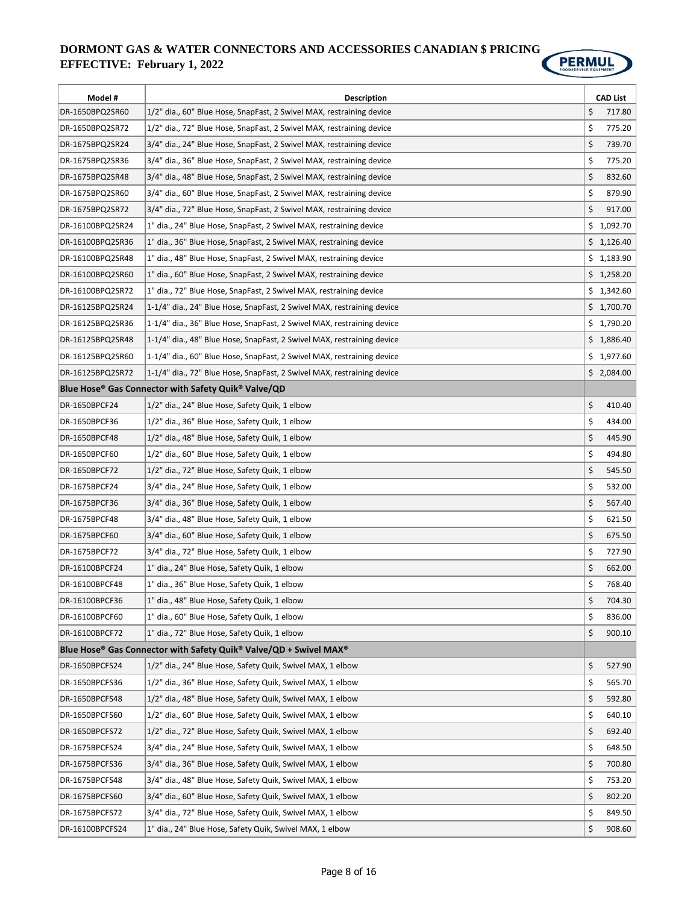

| Model #          | <b>Description</b>                                                     | <b>CAD List</b> |
|------------------|------------------------------------------------------------------------|-----------------|
| DR-1650BPQ2SR60  | 1/2" dia., 60" Blue Hose, SnapFast, 2 Swivel MAX, restraining device   | \$<br>717.80    |
| DR-1650BPQ2SR72  | 1/2" dia., 72" Blue Hose, SnapFast, 2 Swivel MAX, restraining device   | \$<br>775.20    |
| DR-1675BPQ2SR24  | 3/4" dia., 24" Blue Hose, SnapFast, 2 Swivel MAX, restraining device   | \$<br>739.70    |
| DR-1675BPQ2SR36  | 3/4" dia., 36" Blue Hose, SnapFast, 2 Swivel MAX, restraining device   | \$<br>775.20    |
| DR-1675BPQ2SR48  | 3/4" dia., 48" Blue Hose, SnapFast, 2 Swivel MAX, restraining device   | \$<br>832.60    |
| DR-1675BPQ2SR60  | 3/4" dia., 60" Blue Hose, SnapFast, 2 Swivel MAX, restraining device   | \$<br>879.90    |
| DR-1675BPQ2SR72  | 3/4" dia., 72" Blue Hose, SnapFast, 2 Swivel MAX, restraining device   | \$<br>917.00    |
| DR-16100BPQ2SR24 | 1" dia., 24" Blue Hose, SnapFast, 2 Swivel MAX, restraining device     | \$1,092.70      |
| DR-16100BPQ2SR36 | 1" dia., 36" Blue Hose, SnapFast, 2 Swivel MAX, restraining device     | \$1,126.40      |
| DR-16100BPQ2SR48 | 1" dia., 48" Blue Hose, SnapFast, 2 Swivel MAX, restraining device     | \$1,183.90      |
| DR-16100BPQ2SR60 | 1" dia., 60" Blue Hose, SnapFast, 2 Swivel MAX, restraining device     | \$1,258.20      |
| DR-16100BPQ2SR72 | 1" dia., 72" Blue Hose, SnapFast, 2 Swivel MAX, restraining device     | \$1,342.60      |
| DR-16125BPQ2SR24 | 1-1/4" dia., 24" Blue Hose, SnapFast, 2 Swivel MAX, restraining device | \$1,700.70      |
| DR-16125BPQ2SR36 | 1-1/4" dia., 36" Blue Hose, SnapFast, 2 Swivel MAX, restraining device | \$1,790.20      |
| DR-16125BPQ2SR48 | 1-1/4" dia., 48" Blue Hose, SnapFast, 2 Swivel MAX, restraining device | \$1,886.40      |
| DR-16125BPQ2SR60 | 1-1/4" dia., 60" Blue Hose, SnapFast, 2 Swivel MAX, restraining device | \$1,977.60      |
| DR-16125BPQ2SR72 | 1-1/4" dia., 72" Blue Hose, SnapFast, 2 Swivel MAX, restraining device | \$2,084.00      |
|                  | Blue Hose® Gas Connector with Safety Quik® Valve/QD                    |                 |
| DR-1650BPCF24    | 1/2" dia., 24" Blue Hose, Safety Quik, 1 elbow                         | \$<br>410.40    |
| DR-1650BPCF36    | 1/2" dia., 36" Blue Hose, Safety Quik, 1 elbow                         | \$<br>434.00    |
| DR-1650BPCF48    | 1/2" dia., 48" Blue Hose, Safety Quik, 1 elbow                         | \$<br>445.90    |
| DR-1650BPCF60    | 1/2" dia., 60" Blue Hose, Safety Quik, 1 elbow                         | \$<br>494.80    |
| DR-1650BPCF72    | 1/2" dia., 72" Blue Hose, Safety Quik, 1 elbow                         | \$<br>545.50    |
| DR-1675BPCF24    | 3/4" dia., 24" Blue Hose, Safety Quik, 1 elbow                         | \$<br>532.00    |
| DR-1675BPCF36    | 3/4" dia., 36" Blue Hose, Safety Quik, 1 elbow                         | \$<br>567.40    |
| DR-1675BPCF48    | 3/4" dia., 48" Blue Hose, Safety Quik, 1 elbow                         | \$<br>621.50    |
| DR-1675BPCF60    | 3/4" dia., 60" Blue Hose, Safety Quik, 1 elbow                         | \$<br>675.50    |
| DR-1675BPCF72    | 3/4" dia., 72" Blue Hose, Safety Quik, 1 elbow                         | \$<br>727.90    |
| DR-16100BPCF24   | 1" dia., 24" Blue Hose, Safety Quik, 1 elbow                           | \$<br>662.00    |
| DR-16100BPCF48   | 1" dia., 36" Blue Hose, Safety Quik, 1 elbow                           | \$<br>768.40    |
| DR-16100BPCF36   | 1" dia., 48" Blue Hose, Safety Quik, 1 elbow                           | \$<br>704.30    |
| DR-16100BPCF60   | 1" dia., 60" Blue Hose, Safety Quik, 1 elbow                           | \$<br>836.00    |
| DR-16100BPCF72   | 1" dia., 72" Blue Hose, Safety Quik, 1 elbow                           | \$<br>900.10    |
|                  | Blue Hose® Gas Connector with Safety Quik® Valve/QD + Swivel MAX®      |                 |
| DR-1650BPCFS24   | 1/2" dia., 24" Blue Hose, Safety Quik, Swivel MAX, 1 elbow             | \$<br>527.90    |
| DR-1650BPCFS36   | 1/2" dia., 36" Blue Hose, Safety Quik, Swivel MAX, 1 elbow             | \$<br>565.70    |
| DR-1650BPCFS48   | 1/2" dia., 48" Blue Hose, Safety Quik, Swivel MAX, 1 elbow             | \$<br>592.80    |
| DR-1650BPCFS60   | 1/2" dia., 60" Blue Hose, Safety Quik, Swivel MAX, 1 elbow             | \$<br>640.10    |
| DR-1650BPCFS72   | 1/2" dia., 72" Blue Hose, Safety Quik, Swivel MAX, 1 elbow             | \$<br>692.40    |
| DR-1675BPCFS24   | 3/4" dia., 24" Blue Hose, Safety Quik, Swivel MAX, 1 elbow             | \$<br>648.50    |
| DR-1675BPCFS36   | 3/4" dia., 36" Blue Hose, Safety Quik, Swivel MAX, 1 elbow             | \$<br>700.80    |
| DR-1675BPCFS48   | 3/4" dia., 48" Blue Hose, Safety Quik, Swivel MAX, 1 elbow             | \$<br>753.20    |
| DR-1675BPCFS60   | 3/4" dia., 60" Blue Hose, Safety Quik, Swivel MAX, 1 elbow             | \$<br>802.20    |
| DR-1675BPCFS72   | 3/4" dia., 72" Blue Hose, Safety Quik, Swivel MAX, 1 elbow             | \$<br>849.50    |
| DR-16100BPCFS24  | 1" dia., 24" Blue Hose, Safety Quik, Swivel MAX, 1 elbow               | \$<br>908.60    |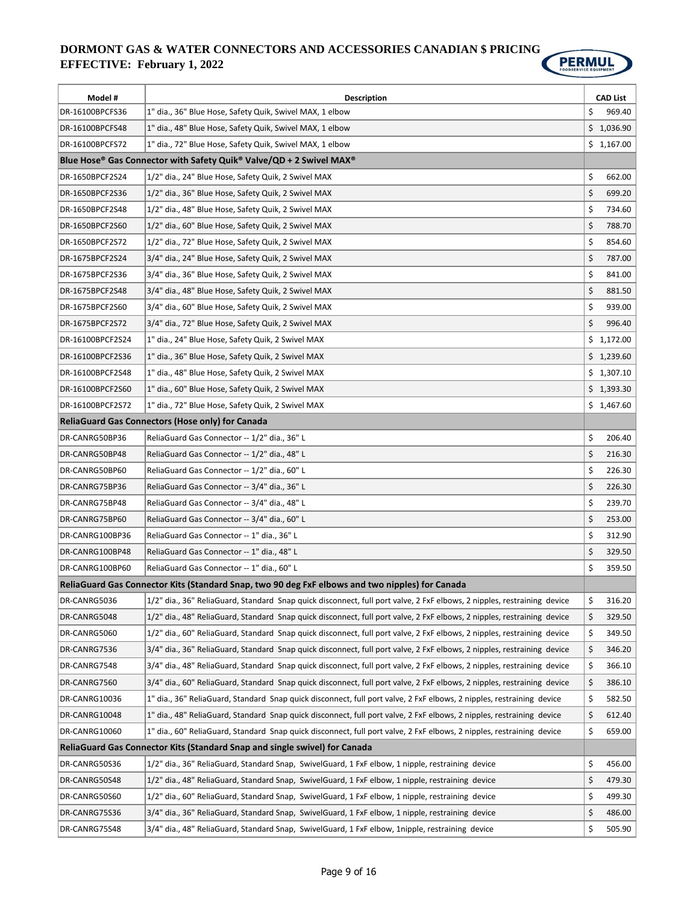

| Model #          | Description                                                                                                             | <b>CAD List</b> |
|------------------|-------------------------------------------------------------------------------------------------------------------------|-----------------|
| DR-16100BPCFS36  | 1" dia., 36" Blue Hose, Safety Quik, Swivel MAX, 1 elbow                                                                | \$<br>969.40    |
| DR-16100BPCFS48  | 1" dia., 48" Blue Hose, Safety Quik, Swivel MAX, 1 elbow                                                                | \$1,036.90      |
| DR-16100BPCFS72  | 1" dia., 72" Blue Hose, Safety Quik, Swivel MAX, 1 elbow                                                                | \$1,167.00      |
|                  | Blue Hose® Gas Connector with Safety Quik® Valve/QD + 2 Swivel MAX®                                                     |                 |
| DR-1650BPCF2S24  | 1/2" dia., 24" Blue Hose, Safety Quik, 2 Swivel MAX                                                                     | \$<br>662.00    |
| DR-1650BPCF2S36  | 1/2" dia., 36" Blue Hose, Safety Quik, 2 Swivel MAX                                                                     | \$<br>699.20    |
| DR-1650BPCF2S48  | 1/2" dia., 48" Blue Hose, Safety Quik, 2 Swivel MAX                                                                     | \$<br>734.60    |
| DR-1650BPCF2S60  | 1/2" dia., 60" Blue Hose, Safety Quik, 2 Swivel MAX                                                                     | \$<br>788.70    |
| DR-1650BPCF2S72  | 1/2" dia., 72" Blue Hose, Safety Quik, 2 Swivel MAX                                                                     | \$<br>854.60    |
| DR-1675BPCF2S24  | 3/4" dia., 24" Blue Hose, Safety Quik, 2 Swivel MAX                                                                     | \$<br>787.00    |
| DR-1675BPCF2S36  | 3/4" dia., 36" Blue Hose, Safety Quik, 2 Swivel MAX                                                                     | \$<br>841.00    |
| DR-1675BPCF2S48  | 3/4" dia., 48" Blue Hose, Safety Quik, 2 Swivel MAX                                                                     | \$<br>881.50    |
| DR-1675BPCF2S60  | 3/4" dia., 60" Blue Hose, Safety Quik, 2 Swivel MAX                                                                     | \$<br>939.00    |
| DR-1675BPCF2S72  | 3/4" dia., 72" Blue Hose, Safety Quik, 2 Swivel MAX                                                                     | \$<br>996.40    |
| DR-16100BPCF2S24 | 1" dia., 24" Blue Hose, Safety Quik, 2 Swivel MAX                                                                       | \$1,172.00      |
| DR-16100BPCF2S36 | 1" dia., 36" Blue Hose, Safety Quik, 2 Swivel MAX                                                                       | \$1,239.60      |
| DR-16100BPCF2S48 | 1" dia., 48" Blue Hose, Safety Quik, 2 Swivel MAX                                                                       | \$1,307.10      |
| DR-16100BPCF2S60 | 1" dia., 60" Blue Hose, Safety Quik, 2 Swivel MAX                                                                       | \$1,393.30      |
| DR-16100BPCF2S72 | 1" dia., 72" Blue Hose, Safety Quik, 2 Swivel MAX                                                                       | \$1,467.60      |
|                  | <b>ReliaGuard Gas Connectors (Hose only) for Canada</b>                                                                 |                 |
| DR-CANRG50BP36   | ReliaGuard Gas Connector -- 1/2" dia., 36" L                                                                            | \$<br>206.40    |
| DR-CANRG50BP48   | ReliaGuard Gas Connector -- 1/2" dia., 48" L                                                                            | \$<br>216.30    |
| DR-CANRG50BP60   | ReliaGuard Gas Connector -- 1/2" dia., 60" L                                                                            | \$<br>226.30    |
| DR-CANRG75BP36   | ReliaGuard Gas Connector -- 3/4" dia., 36" L                                                                            | \$<br>226.30    |
| DR-CANRG75BP48   | ReliaGuard Gas Connector -- 3/4" dia., 48" L                                                                            | \$<br>239.70    |
| DR-CANRG75BP60   | ReliaGuard Gas Connector -- 3/4" dia., 60" L                                                                            | \$<br>253.00    |
| DR-CANRG100BP36  | ReliaGuard Gas Connector -- 1" dia., 36" L                                                                              | \$<br>312.90    |
| DR-CANRG100BP48  | ReliaGuard Gas Connector -- 1" dia., 48" L                                                                              | \$<br>329.50    |
| DR-CANRG100BP60  | ReliaGuard Gas Connector -- 1" dia., 60" L                                                                              | \$<br>359.50    |
|                  | ReliaGuard Gas Connector Kits (Standard Snap, two 90 deg FxF elbows and two nipples) for Canada                         |                 |
| DR-CANRG5036     | 1/2" dia., 36" ReliaGuard, Standard Snap quick disconnect, full port valve, 2 FxF elbows, 2 nipples, restraining device | \$<br>316.20    |
| DR-CANRG5048     | 1/2" dia., 48" ReliaGuard, Standard Snap quick disconnect, full port valve, 2 FxF elbows, 2 nipples, restraining device | \$<br>329.50    |
| DR-CANRG5060     | 1/2" dia., 60" ReliaGuard, Standard Snap quick disconnect, full port valve, 2 FxF elbows, 2 nipples, restraining device | \$<br>349.50    |
| DR-CANRG7536     | 3/4" dia., 36" ReliaGuard, Standard Snap quick disconnect, full port valve, 2 FxF elbows, 2 nipples, restraining device | \$<br>346.20    |
| DR-CANRG7548     | 3/4" dia., 48" ReliaGuard, Standard Snap quick disconnect, full port valve, 2 FxF elbows, 2 nipples, restraining device | \$<br>366.10    |
| DR-CANRG7560     | 3/4" dia., 60" ReliaGuard, Standard Snap quick disconnect, full port valve, 2 FxF elbows, 2 nipples, restraining device | \$<br>386.10    |
| DR-CANRG10036    | 1" dia., 36" ReliaGuard, Standard Snap quick disconnect, full port valve, 2 FxF elbows, 2 nipples, restraining device   | \$<br>582.50    |
| DR-CANRG10048    | 1" dia., 48" ReliaGuard, Standard Snap quick disconnect, full port valve, 2 FxF elbows, 2 nipples, restraining device   | \$<br>612.40    |
| DR-CANRG10060    | 1" dia., 60" ReliaGuard, Standard Snap quick disconnect, full port valve, 2 FxF elbows, 2 nipples, restraining device   | \$<br>659.00    |
|                  | ReliaGuard Gas Connector Kits (Standard Snap and single swivel) for Canada                                              |                 |
| DR-CANRG50S36    | 1/2" dia., 36" ReliaGuard, Standard Snap, SwivelGuard, 1 FxF elbow, 1 nipple, restraining device                        | \$<br>456.00    |
| DR-CANRG50S48    | 1/2" dia., 48" ReliaGuard, Standard Snap, SwivelGuard, 1 FxF elbow, 1 nipple, restraining device                        | \$<br>479.30    |
| DR-CANRG50S60    | 1/2" dia., 60" ReliaGuard, Standard Snap, SwivelGuard, 1 FxF elbow, 1 nipple, restraining device                        | \$<br>499.30    |
| DR-CANRG75S36    | 3/4" dia., 36" ReliaGuard, Standard Snap, SwivelGuard, 1 FxF elbow, 1 nipple, restraining device                        | \$<br>486.00    |
| DR-CANRG75S48    | 3/4" dia., 48" ReliaGuard, Standard Snap, SwivelGuard, 1 FxF elbow, 1nipple, restraining device                         | \$<br>505.90    |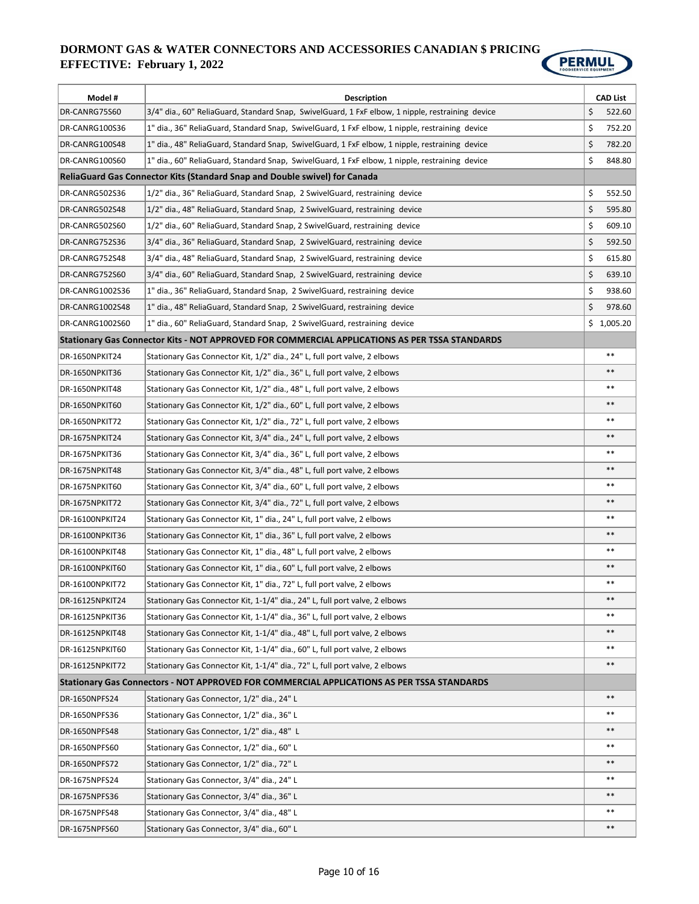

| Model #         | <b>Description</b>                                                                               | <b>CAD List</b> |
|-----------------|--------------------------------------------------------------------------------------------------|-----------------|
| DR-CANRG75S60   | 3/4" dia., 60" ReliaGuard, Standard Snap, SwivelGuard, 1 FxF elbow, 1 nipple, restraining device | \$<br>522.60    |
| DR-CANRG100S36  | 1" dia., 36" ReliaGuard, Standard Snap, SwivelGuard, 1 FxF elbow, 1 nipple, restraining device   | \$<br>752.20    |
| DR-CANRG100S48  | 1" dia., 48" ReliaGuard, Standard Snap, SwivelGuard, 1 FxF elbow, 1 nipple, restraining device   | \$<br>782.20    |
| DR-CANRG100S60  | 1" dia., 60" ReliaGuard, Standard Snap, SwivelGuard, 1 FxF elbow, 1 nipple, restraining device   | \$<br>848.80    |
|                 | ReliaGuard Gas Connector Kits (Standard Snap and Double swivel) for Canada                       |                 |
| DR-CANRG502S36  | 1/2" dia., 36" ReliaGuard, Standard Snap, 2 SwivelGuard, restraining device                      | \$<br>552.50    |
| DR-CANRG502S48  | 1/2" dia., 48" ReliaGuard, Standard Snap, 2 SwivelGuard, restraining device                      | \$<br>595.80    |
| DR-CANRG502S60  | 1/2" dia., 60" ReliaGuard, Standard Snap, 2 SwivelGuard, restraining device                      | \$<br>609.10    |
| DR-CANRG752S36  | 3/4" dia., 36" ReliaGuard, Standard Snap, 2 SwivelGuard, restraining device                      | \$<br>592.50    |
| DR-CANRG752S48  | 3/4" dia., 48" ReliaGuard, Standard Snap, 2 SwivelGuard, restraining device                      | \$<br>615.80    |
| DR-CANRG752S60  | 3/4" dia., 60" ReliaGuard, Standard Snap, 2 SwivelGuard, restraining device                      | \$<br>639.10    |
| DR-CANRG1002S36 | 1" dia., 36" ReliaGuard, Standard Snap, 2 SwivelGuard, restraining device                        | \$<br>938.60    |
| DR-CANRG1002S48 | 1" dia., 48" ReliaGuard, Standard Snap, 2 SwivelGuard, restraining device                        | \$<br>978.60    |
| DR-CANRG1002S60 | 1" dia., 60" ReliaGuard, Standard Snap, 2 SwivelGuard, restraining device                        | \$1,005.20      |
|                 | Stationary Gas Connector Kits - NOT APPROVED FOR COMMERCIAL APPLICATIONS AS PER TSSA STANDARDS   |                 |
| DR-1650NPKIT24  | Stationary Gas Connector Kit, 1/2" dia., 24" L, full port valve, 2 elbows                        | $***$           |
| DR-1650NPKIT36  | Stationary Gas Connector Kit, 1/2" dia., 36" L, full port valve, 2 elbows                        | $***$           |
| DR-1650NPKIT48  | Stationary Gas Connector Kit, 1/2" dia., 48" L, full port valve, 2 elbows                        | $***$           |
| DR-1650NPKIT60  | Stationary Gas Connector Kit, 1/2" dia., 60" L, full port valve, 2 elbows                        | $\ast\ast$      |
| DR-1650NPKIT72  | Stationary Gas Connector Kit, 1/2" dia., 72" L, full port valve, 2 elbows                        | $***$           |
| DR-1675NPKIT24  | Stationary Gas Connector Kit, 3/4" dia., 24" L, full port valve, 2 elbows                        | $***$           |
| DR-1675NPKIT36  | Stationary Gas Connector Kit, 3/4" dia., 36" L, full port valve, 2 elbows                        | $***$           |
| DR-1675NPKIT48  | Stationary Gas Connector Kit, 3/4" dia., 48" L, full port valve, 2 elbows                        | $***$           |
| DR-1675NPKIT60  | Stationary Gas Connector Kit, 3/4" dia., 60" L, full port valve, 2 elbows                        | $***$           |
| DR-1675NPKIT72  | Stationary Gas Connector Kit, 3/4" dia., 72" L, full port valve, 2 elbows                        | $***$           |
| DR-16100NPKIT24 | Stationary Gas Connector Kit, 1" dia., 24" L, full port valve, 2 elbows                          | $***$           |
| DR-16100NPKIT36 | Stationary Gas Connector Kit, 1" dia., 36" L, full port valve, 2 elbows                          | $***$           |
| DR-16100NPKIT48 | Stationary Gas Connector Kit, 1" dia., 48" L, full port valve, 2 elbows                          | $***$           |
| DR-16100NPKIT60 | Stationary Gas Connector Kit, 1" dia., 60" L, full port valve, 2 elbows                          | $***$           |
| DR-16100NPKIT72 | Stationary Gas Connector Kit, 1" dia., 72" L, full port valve, 2 elbows                          | $***$           |
| DR-16125NPKIT24 | Stationary Gas Connector Kit, 1-1/4" dia., 24" L, full port valve, 2 elbows                      |                 |
| DR-16125NPKIT36 | Stationary Gas Connector Kit, 1-1/4" dia., 36" L, full port valve, 2 elbows                      | $***$           |
| DR-16125NPKIT48 | Stationary Gas Connector Kit, 1-1/4" dia., 48" L, full port valve, 2 elbows                      | $***$           |
| DR-16125NPKIT60 | Stationary Gas Connector Kit, 1-1/4" dia., 60" L, full port valve, 2 elbows                      | $***$           |
| DR-16125NPKIT72 | Stationary Gas Connector Kit, 1-1/4" dia., 72" L, full port valve, 2 elbows                      | $***$           |
|                 | Stationary Gas Connectors - NOT APPROVED FOR COMMERCIAL APPLICATIONS AS PER TSSA STANDARDS       |                 |
| DR-1650NPFS24   | Stationary Gas Connector, 1/2" dia., 24" L                                                       | $***$           |
| DR-1650NPFS36   | Stationary Gas Connector, 1/2" dia., 36" L                                                       | $***$           |
| DR-1650NPFS48   | Stationary Gas Connector, 1/2" dia., 48" L                                                       | $***$           |
| DR-1650NPFS60   | Stationary Gas Connector, 1/2" dia., 60" L                                                       | $***$           |
| DR-1650NPFS72   | Stationary Gas Connector, 1/2" dia., 72" L                                                       | $***$           |
| DR-1675NPFS24   | Stationary Gas Connector, 3/4" dia., 24" L                                                       | $***$           |
| DR-1675NPFS36   | Stationary Gas Connector, 3/4" dia., 36" L                                                       | $***$           |
| DR-1675NPFS48   | Stationary Gas Connector, 3/4" dia., 48" L                                                       | $***$           |
| DR-1675NPFS60   | Stationary Gas Connector, 3/4" dia., 60" L                                                       | $***$           |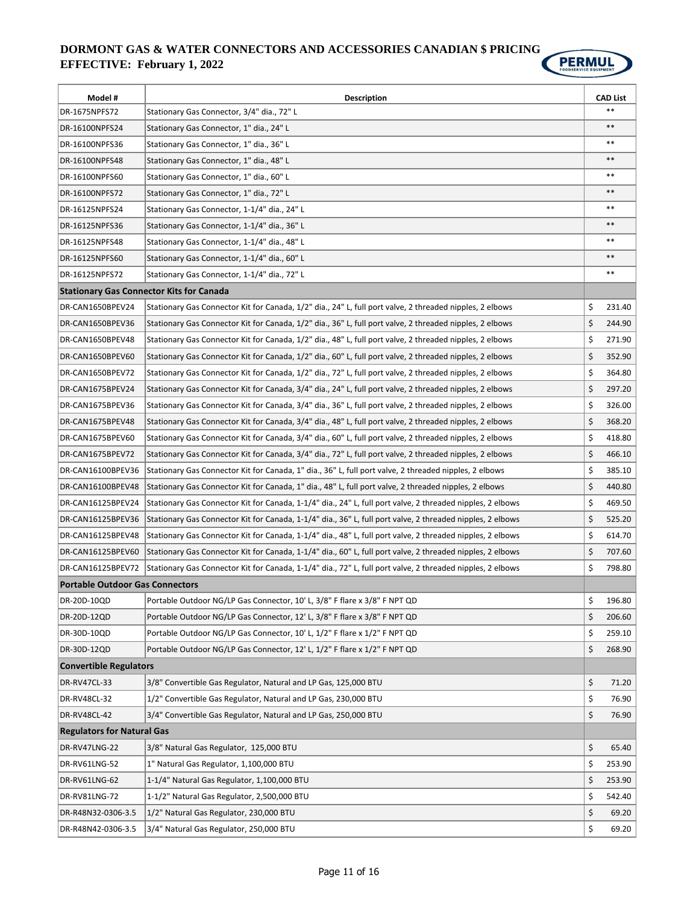

| Model #                                         | <b>Description</b>                                                                                         | <b>CAD List</b> |
|-------------------------------------------------|------------------------------------------------------------------------------------------------------------|-----------------|
| DR-1675NPFS72                                   | Stationary Gas Connector, 3/4" dia., 72" L                                                                 | $***$           |
| DR-16100NPFS24                                  | Stationary Gas Connector, 1" dia., 24" L                                                                   | $***$           |
| DR-16100NPFS36                                  | Stationary Gas Connector, 1" dia., 36" L                                                                   | $***$           |
| DR-16100NPFS48                                  | Stationary Gas Connector, 1" dia., 48" L                                                                   | $***$           |
| DR-16100NPFS60                                  | Stationary Gas Connector, 1" dia., 60" L                                                                   | $***$           |
| DR-16100NPFS72                                  | Stationary Gas Connector, 1" dia., 72" L                                                                   | $***$           |
| DR-16125NPFS24                                  | Stationary Gas Connector, 1-1/4" dia., 24" L                                                               | $***$           |
| DR-16125NPFS36                                  | Stationary Gas Connector, 1-1/4" dia., 36" L                                                               | $***$           |
| DR-16125NPFS48                                  | Stationary Gas Connector, 1-1/4" dia., 48" L                                                               | $***$           |
| DR-16125NPFS60                                  | Stationary Gas Connector, 1-1/4" dia., 60" L                                                               | $***$           |
| DR-16125NPFS72                                  | Stationary Gas Connector, 1-1/4" dia., 72" L                                                               | $***$           |
| <b>Stationary Gas Connector Kits for Canada</b> |                                                                                                            |                 |
| DR-CAN1650BPEV24                                | Stationary Gas Connector Kit for Canada, 1/2" dia., 24" L, full port valve, 2 threaded nipples, 2 elbows   | \$<br>231.40    |
| DR-CAN1650BPEV36                                | Stationary Gas Connector Kit for Canada, 1/2" dia., 36" L, full port valve, 2 threaded nipples, 2 elbows   | \$<br>244.90    |
| DR-CAN1650BPEV48                                | Stationary Gas Connector Kit for Canada, 1/2" dia., 48" L, full port valve, 2 threaded nipples, 2 elbows   | \$<br>271.90    |
| DR-CAN1650BPEV60                                | Stationary Gas Connector Kit for Canada, 1/2" dia., 60" L, full port valve, 2 threaded nipples, 2 elbows   | \$<br>352.90    |
| DR-CAN1650BPEV72                                | Stationary Gas Connector Kit for Canada, 1/2" dia., 72" L, full port valve, 2 threaded nipples, 2 elbows   | \$<br>364.80    |
| DR-CAN1675BPEV24                                | Stationary Gas Connector Kit for Canada, 3/4" dia., 24" L, full port valve, 2 threaded nipples, 2 elbows   | \$<br>297.20    |
| DR-CAN1675BPEV36                                | Stationary Gas Connector Kit for Canada, 3/4" dia., 36" L, full port valve, 2 threaded nipples, 2 elbows   | \$<br>326.00    |
| DR-CAN1675BPEV48                                | Stationary Gas Connector Kit for Canada, 3/4" dia., 48" L, full port valve, 2 threaded nipples, 2 elbows   | \$<br>368.20    |
| DR-CAN1675BPEV60                                | Stationary Gas Connector Kit for Canada, 3/4" dia., 60" L, full port valve, 2 threaded nipples, 2 elbows   | \$<br>418.80    |
| DR-CAN1675BPEV72                                | Stationary Gas Connector Kit for Canada, 3/4" dia., 72" L, full port valve, 2 threaded nipples, 2 elbows   | \$<br>466.10    |
| DR-CAN16100BPEV36                               | Stationary Gas Connector Kit for Canada, 1" dia., 36" L, full port valve, 2 threaded nipples, 2 elbows     | \$<br>385.10    |
| DR-CAN16100BPEV48                               | Stationary Gas Connector Kit for Canada, 1" dia., 48" L, full port valve, 2 threaded nipples, 2 elbows     | \$<br>440.80    |
| DR-CAN16125BPEV24                               | Stationary Gas Connector Kit for Canada, 1-1/4" dia., 24" L, full port valve, 2 threaded nipples, 2 elbows | \$<br>469.50    |
| DR-CAN16125BPEV36                               | Stationary Gas Connector Kit for Canada, 1-1/4" dia., 36" L, full port valve, 2 threaded nipples, 2 elbows | \$<br>525.20    |
| DR-CAN16125BPEV48                               | Stationary Gas Connector Kit for Canada, 1-1/4" dia., 48" L, full port valve, 2 threaded nipples, 2 elbows | \$<br>614.70    |
| DR-CAN16125BPEV60                               | Stationary Gas Connector Kit for Canada, 1-1/4" dia., 60" L, full port valve, 2 threaded nipples, 2 elbows | \$<br>707.60    |
| DR-CAN16125BPEV72                               | Stationary Gas Connector Kit for Canada, 1-1/4" dia., 72" L, full port valve, 2 threaded nipples, 2 elbows | \$<br>798.80    |
| <b>Portable Outdoor Gas Connectors</b>          |                                                                                                            |                 |
| DR-20D-10QD                                     | Portable Outdoor NG/LP Gas Connector, 10' L, 3/8" F flare x 3/8" F NPT QD                                  | \$<br>196.80    |
| DR-20D-12QD                                     | Portable Outdoor NG/LP Gas Connector, 12' L, 3/8" F flare x 3/8" F NPT QD                                  | \$<br>206.60    |
| DR-30D-10QD                                     | Portable Outdoor NG/LP Gas Connector, 10' L, 1/2" F flare x 1/2" F NPT QD                                  | \$<br>259.10    |
| DR-30D-12QD                                     | Portable Outdoor NG/LP Gas Connector, 12' L, 1/2" F flare x 1/2" F NPT QD                                  | \$<br>268.90    |
| <b>Convertible Regulators</b>                   |                                                                                                            |                 |
| DR-RV47CL-33                                    | 3/8" Convertible Gas Regulator, Natural and LP Gas, 125,000 BTU                                            | \$<br>71.20     |
| DR-RV48CL-32                                    | 1/2" Convertible Gas Regulator, Natural and LP Gas, 230,000 BTU                                            | \$<br>76.90     |
| DR-RV48CL-42                                    | 3/4" Convertible Gas Regulator, Natural and LP Gas, 250,000 BTU                                            | \$<br>76.90     |
| <b>Regulators for Natural Gas</b>               |                                                                                                            |                 |
| DR-RV47LNG-22                                   | 3/8" Natural Gas Regulator, 125,000 BTU                                                                    | \$<br>65.40     |
| DR-RV61LNG-52                                   | 1" Natural Gas Regulator, 1,100,000 BTU                                                                    | \$<br>253.90    |
| DR-RV61LNG-62                                   | 1-1/4" Natural Gas Regulator, 1,100,000 BTU                                                                | \$<br>253.90    |
| DR-RV81LNG-72                                   | 1-1/2" Natural Gas Regulator, 2,500,000 BTU                                                                | \$<br>542.40    |
| DR-R48N32-0306-3.5                              | 1/2" Natural Gas Regulator, 230,000 BTU                                                                    | \$<br>69.20     |
| DR-R48N42-0306-3.5                              | 3/4" Natural Gas Regulator, 250,000 BTU                                                                    | \$<br>69.20     |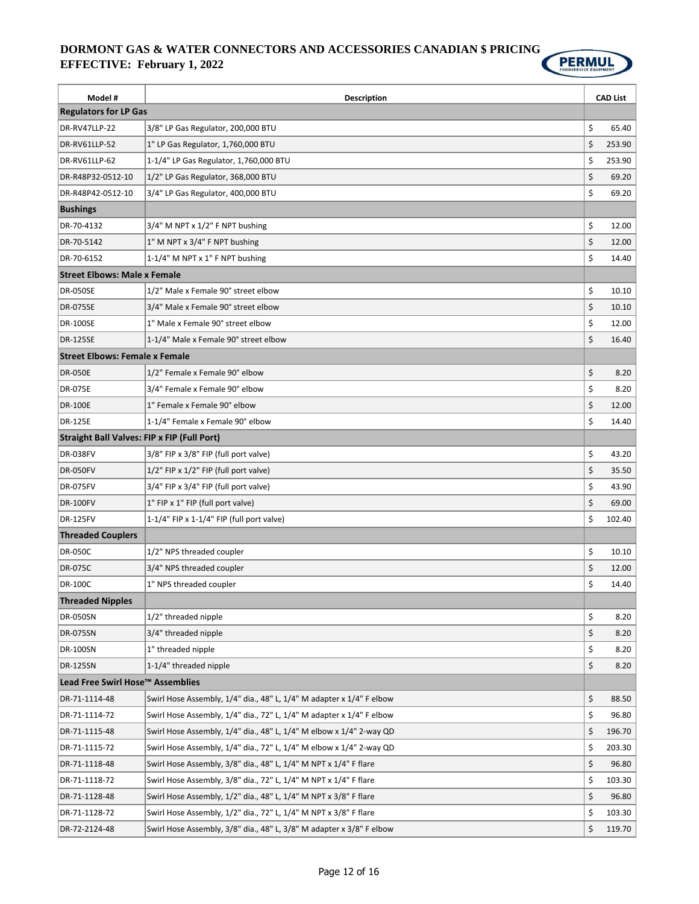

| Model #                                            | Description                                                          | <b>CAD List</b> |
|----------------------------------------------------|----------------------------------------------------------------------|-----------------|
| <b>Regulators for LP Gas</b>                       |                                                                      |                 |
| DR-RV47LLP-22                                      | 3/8" LP Gas Regulator, 200,000 BTU                                   | \$<br>65.40     |
| DR-RV61LLP-52                                      | 1" LP Gas Regulator, 1,760,000 BTU                                   | \$<br>253.90    |
| DR-RV61LLP-62                                      | 1-1/4" LP Gas Regulator, 1,760,000 BTU                               | \$<br>253.90    |
| DR-R48P32-0512-10                                  | 1/2" LP Gas Regulator, 368,000 BTU                                   | \$<br>69.20     |
| DR-R48P42-0512-10                                  | 3/4" LP Gas Regulator, 400,000 BTU                                   | \$<br>69.20     |
| <b>Bushings</b>                                    |                                                                      |                 |
| DR-70-4132                                         | $3/4$ " M NPT x $1/2$ " F NPT bushing                                | \$<br>12.00     |
| DR-70-5142                                         | 1" M NPT x 3/4" F NPT bushing                                        | \$<br>12.00     |
| DR-70-6152                                         | 1-1/4" M NPT x 1" F NPT bushing                                      | \$<br>14.40     |
| <b>Street Elbows: Male x Female</b>                |                                                                      |                 |
| <b>DR-050SE</b>                                    | 1/2" Male x Female 90° street elbow                                  | \$<br>10.10     |
| <b>DR-075SE</b>                                    | 3/4" Male x Female 90° street elbow                                  | \$<br>10.10     |
| <b>DR-100SE</b>                                    | 1" Male x Female 90° street elbow                                    | \$<br>12.00     |
| <b>DR-125SE</b>                                    | 1-1/4" Male x Female 90° street elbow                                | \$<br>16.40     |
| <b>Street Elbows: Female x Female</b>              |                                                                      |                 |
| <b>DR-050E</b>                                     | 1/2" Female x Female 90° elbow                                       | \$<br>8.20      |
| <b>DR-075E</b>                                     | 3/4" Female x Female 90° elbow                                       | \$<br>8.20      |
| <b>DR-100E</b>                                     | 1" Female x Female 90° elbow                                         | \$<br>12.00     |
| <b>DR-125E</b>                                     | 1-1/4" Female x Female 90° elbow                                     | \$<br>14.40     |
| <b>Straight Ball Valves: FIP x FIP (Full Port)</b> |                                                                      |                 |
| <b>DR-038FV</b>                                    | 3/8" FIP x 3/8" FIP (full port valve)                                | \$<br>43.20     |
| <b>DR-050FV</b>                                    | 1/2" FIP x 1/2" FIP (full port valve)                                | \$<br>35.50     |
| <b>DR-075FV</b>                                    | 3/4" FIP x 3/4" FIP (full port valve)                                | \$<br>43.90     |
| <b>DR-100FV</b>                                    | 1" FIP x 1" FIP (full port valve)                                    | \$<br>69.00     |
| <b>DR-125FV</b>                                    | 1-1/4" FIP x 1-1/4" FIP (full port valve)                            | \$<br>102.40    |
| <b>Threaded Couplers</b>                           |                                                                      |                 |
| <b>DR-050C</b>                                     | 1/2" NPS threaded coupler                                            | \$<br>10.10     |
| <b>DR-075C</b>                                     | 3/4" NPS threaded coupler                                            | \$<br>12.00     |
| <b>DR-100C</b>                                     | 1" NPS threaded coupler                                              | \$<br>14.40     |
| <b>Threaded Nipples</b>                            |                                                                      |                 |
| <b>DR-050SN</b>                                    | 1/2" threaded nipple                                                 | \$<br>8.20      |
| <b>DR-075SN</b>                                    | 3/4" threaded nipple                                                 | \$<br>8.20      |
| <b>DR-100SN</b>                                    | 1" threaded nipple                                                   | \$<br>8.20      |
| <b>DR-125SN</b>                                    | 1-1/4" threaded nipple                                               | \$<br>8.20      |
| Lead Free Swirl Hose™ Assemblies                   |                                                                      |                 |
| DR-71-1114-48                                      | Swirl Hose Assembly, 1/4" dia., 48" L, 1/4" M adapter x 1/4" F elbow | \$<br>88.50     |
| DR-71-1114-72                                      | Swirl Hose Assembly, 1/4" dia., 72" L, 1/4" M adapter x 1/4" F elbow | \$<br>96.80     |
| DR-71-1115-48                                      | Swirl Hose Assembly, 1/4" dia., 48" L, 1/4" M elbow x 1/4" 2-way QD  | \$<br>196.70    |
| DR-71-1115-72                                      | Swirl Hose Assembly, 1/4" dia., 72" L, 1/4" M elbow x 1/4" 2-way QD  | \$<br>203.30    |
| DR-71-1118-48                                      | Swirl Hose Assembly, 3/8" dia., 48" L, 1/4" M NPT x 1/4" F flare     | \$<br>96.80     |
| DR-71-1118-72                                      | Swirl Hose Assembly, 3/8" dia., 72" L, 1/4" M NPT x 1/4" F flare     | \$<br>103.30    |
| DR-71-1128-48                                      | Swirl Hose Assembly, 1/2" dia., 48" L, 1/4" M NPT x 3/8" F flare     | \$<br>96.80     |
| DR-71-1128-72                                      | Swirl Hose Assembly, 1/2" dia., 72" L, 1/4" M NPT x 3/8" F flare     | \$<br>103.30    |
| DR-72-2124-48                                      | Swirl Hose Assembly, 3/8" dia., 48" L, 3/8" M adapter x 3/8" F elbow | \$<br>119.70    |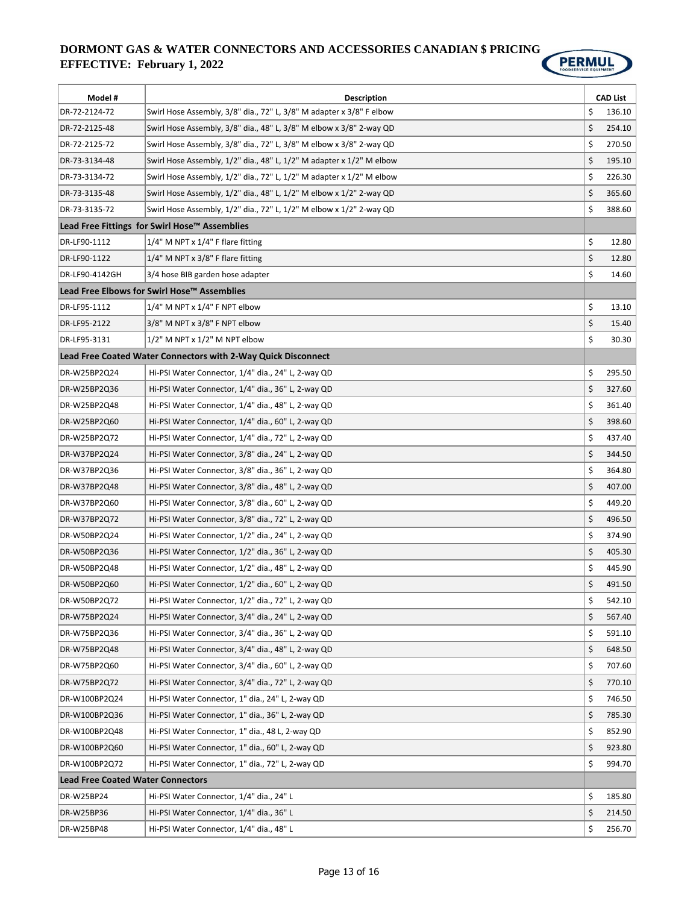

| Model #                                       | <b>Description</b>                                                   |    | <b>CAD List</b> |
|-----------------------------------------------|----------------------------------------------------------------------|----|-----------------|
| DR-72-2124-72                                 | Swirl Hose Assembly, 3/8" dia., 72" L, 3/8" M adapter x 3/8" F elbow | \$ | 136.10          |
| DR-72-2125-48                                 | Swirl Hose Assembly, 3/8" dia., 48" L, 3/8" M elbow x 3/8" 2-way QD  | \$ | 254.10          |
| DR-72-2125-72                                 | Swirl Hose Assembly, 3/8" dia., 72" L, 3/8" M elbow x 3/8" 2-way QD  | \$ | 270.50          |
| DR-73-3134-48                                 | Swirl Hose Assembly, 1/2" dia., 48" L, 1/2" M adapter x 1/2" M elbow | \$ | 195.10          |
| DR-73-3134-72                                 | Swirl Hose Assembly, 1/2" dia., 72" L, 1/2" M adapter x 1/2" M elbow | \$ | 226.30          |
| DR-73-3135-48                                 | Swirl Hose Assembly, 1/2" dia., 48" L, 1/2" M elbow x 1/2" 2-way QD  | \$ | 365.60          |
| DR-73-3135-72                                 | Swirl Hose Assembly, 1/2" dia., 72" L, 1/2" M elbow x 1/2" 2-way QD  | \$ | 388.60          |
| Lead Free Fittings for Swirl Hose™ Assemblies |                                                                      |    |                 |
| DR-LF90-1112                                  | $1/4$ " M NPT x $1/4$ " F flare fitting                              | \$ | 12.80           |
| DR-LF90-1122                                  | $1/4$ " M NPT x 3/8" F flare fitting                                 | \$ | 12.80           |
| DR-LF90-4142GH                                | 3/4 hose BIB garden hose adapter                                     | \$ | 14.60           |
|                                               | Lead Free Elbows for Swirl Hose™ Assemblies                          |    |                 |
| DR-LF95-1112                                  | 1/4" M NPT x 1/4" F NPT elbow                                        | \$ | 13.10           |
| DR-LF95-2122                                  | 3/8" M NPT x 3/8" F NPT elbow                                        | \$ | 15.40           |
| DR-LF95-3131                                  | $1/2$ " M NPT x $1/2$ " M NPT elbow                                  | \$ | 30.30           |
|                                               | Lead Free Coated Water Connectors with 2-Way Quick Disconnect        |    |                 |
| DR-W25BP2Q24                                  | Hi-PSI Water Connector, 1/4" dia., 24" L, 2-way QD                   | \$ | 295.50          |
| DR-W25BP2Q36                                  | Hi-PSI Water Connector, 1/4" dia., 36" L, 2-way QD                   | \$ | 327.60          |
| DR-W25BP2Q48                                  | Hi-PSI Water Connector, 1/4" dia., 48" L, 2-way QD                   | \$ | 361.40          |
| DR-W25BP2Q60                                  | Hi-PSI Water Connector, 1/4" dia., 60" L, 2-way QD                   | \$ | 398.60          |
| DR-W25BP2Q72                                  | Hi-PSI Water Connector, 1/4" dia., 72" L, 2-way QD                   | \$ | 437.40          |
| DR-W37BP2Q24                                  | Hi-PSI Water Connector, 3/8" dia., 24" L, 2-way QD                   | \$ | 344.50          |
| DR-W37BP2Q36                                  | Hi-PSI Water Connector, 3/8" dia., 36" L, 2-way QD                   | \$ | 364.80          |
| DR-W37BP2Q48                                  | Hi-PSI Water Connector, 3/8" dia., 48" L, 2-way QD                   | \$ | 407.00          |
| DR-W37BP2Q60                                  | Hi-PSI Water Connector, 3/8" dia., 60" L, 2-way QD                   | \$ | 449.20          |
| DR-W37BP2Q72                                  | Hi-PSI Water Connector, 3/8" dia., 72" L, 2-way QD                   | \$ | 496.50          |
| DR-W50BP2Q24                                  | Hi-PSI Water Connector, 1/2" dia., 24" L, 2-way QD                   | \$ | 374.90          |
| DR-W50BP2Q36                                  | Hi-PSI Water Connector, 1/2" dia., 36" L, 2-way QD                   | \$ | 405.30          |
| DR-W50BP2Q48                                  | Hi-PSI Water Connector, 1/2" dia., 48" L, 2-way QD                   | \$ | 445.90          |
| DR-W50BP2Q60                                  | Hi-PSI Water Connector, 1/2" dia., 60" L, 2-way QD                   | \$ | 491.50          |
| DR-W50BP2Q72                                  | Hi-PSI Water Connector, 1/2" dia., 72" L, 2-way QD                   | \$ | 542.10          |
| DR-W75BP2Q24                                  | Hi-PSI Water Connector, 3/4" dia., 24" L, 2-way QD                   | \$ | 567.40          |
| DR-W75BP2Q36                                  | Hi-PSI Water Connector, 3/4" dia., 36" L, 2-way QD                   | \$ | 591.10          |
| DR-W75BP2Q48                                  | Hi-PSI Water Connector, 3/4" dia., 48" L, 2-way QD                   | \$ | 648.50          |
| DR-W75BP2Q60                                  | Hi-PSI Water Connector, 3/4" dia., 60" L, 2-way QD                   | \$ | 707.60          |
| DR-W75BP2Q72                                  | Hi-PSI Water Connector, 3/4" dia., 72" L, 2-way QD                   | \$ | 770.10          |
| DR-W100BP2Q24                                 | Hi-PSI Water Connector, 1" dia., 24" L, 2-way QD                     | \$ | 746.50          |
| DR-W100BP2Q36                                 | Hi-PSI Water Connector, 1" dia., 36" L, 2-way QD                     | \$ | 785.30          |
| DR-W100BP2Q48                                 | Hi-PSI Water Connector, 1" dia., 48 L, 2-way QD                      | \$ | 852.90          |
| DR-W100BP2Q60                                 | Hi-PSI Water Connector, 1" dia., 60" L, 2-way QD                     | \$ | 923.80          |
| DR-W100BP2Q72                                 | Hi-PSI Water Connector, 1" dia., 72" L, 2-way QD                     | \$ | 994.70          |
| <b>Lead Free Coated Water Connectors</b>      |                                                                      |    |                 |
| DR-W25BP24                                    | Hi-PSI Water Connector, 1/4" dia., 24" L                             | \$ | 185.80          |
| DR-W25BP36                                    | Hi-PSI Water Connector, 1/4" dia., 36" L                             | \$ | 214.50          |
| DR-W25BP48                                    | Hi-PSI Water Connector, 1/4" dia., 48" L                             | \$ | 256.70          |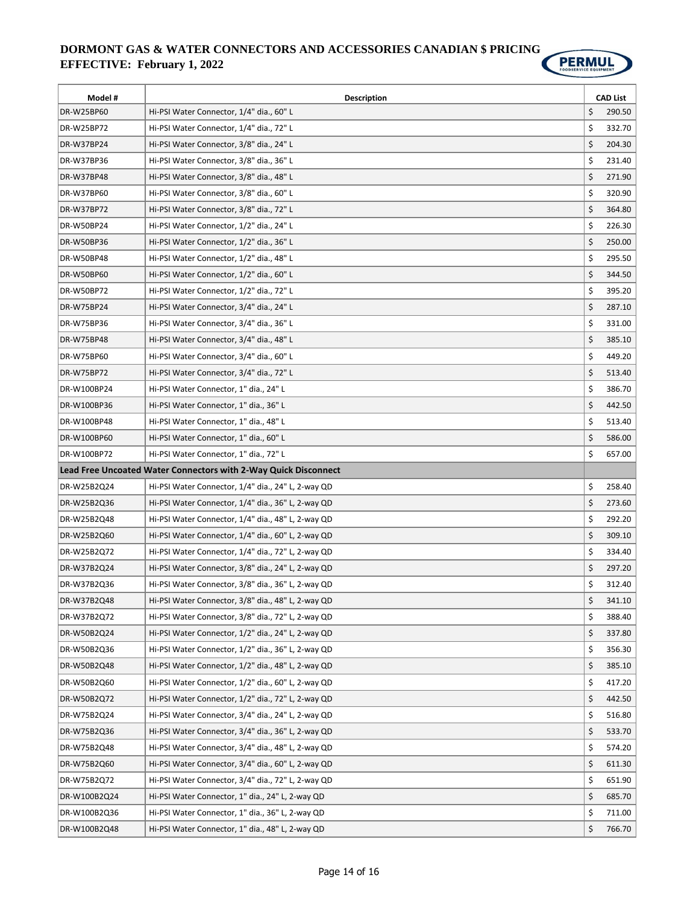

| \$<br>DR-W25BP60<br>Hi-PSI Water Connector, 1/4" dia., 60" L<br>290.50<br>\$<br>Hi-PSI Water Connector, 1/4" dia., 72" L<br>332.70<br>DR-W25BP72<br>\$<br>DR-W37BP24<br>Hi-PSI Water Connector, 3/8" dia., 24" L<br>204.30<br>\$<br>Hi-PSI Water Connector, 3/8" dia., 36" L<br>DR-W37BP36<br>231.40<br>\$<br>DR-W37BP48<br>Hi-PSI Water Connector, 3/8" dia., 48" L<br>271.90<br>\$<br>Hi-PSI Water Connector, 3/8" dia., 60" L<br>320.90<br>DR-W37BP60 <br>\$<br>DR-W37BP72<br>Hi-PSI Water Connector, 3/8" dia., 72" L<br>364.80<br>\$<br>DR-W50BP24<br>Hi-PSI Water Connector, 1/2" dia., 24" L<br>226.30<br>\$<br>Hi-PSI Water Connector, 1/2" dia., 36" L<br>DR-W50BP36<br>250.00<br>\$<br>DR-W50BP48<br>Hi-PSI Water Connector, 1/2" dia., 48" L<br>295.50<br>\$<br>Hi-PSI Water Connector, 1/2" dia., 60" L<br>344.50<br>DR-W50BP60<br>\$<br>Hi-PSI Water Connector, 1/2" dia., 72" L<br>DR-W50BP72<br>395.20 |
|-----------------------------------------------------------------------------------------------------------------------------------------------------------------------------------------------------------------------------------------------------------------------------------------------------------------------------------------------------------------------------------------------------------------------------------------------------------------------------------------------------------------------------------------------------------------------------------------------------------------------------------------------------------------------------------------------------------------------------------------------------------------------------------------------------------------------------------------------------------------------------------------------------------------------|
|                                                                                                                                                                                                                                                                                                                                                                                                                                                                                                                                                                                                                                                                                                                                                                                                                                                                                                                       |
|                                                                                                                                                                                                                                                                                                                                                                                                                                                                                                                                                                                                                                                                                                                                                                                                                                                                                                                       |
|                                                                                                                                                                                                                                                                                                                                                                                                                                                                                                                                                                                                                                                                                                                                                                                                                                                                                                                       |
|                                                                                                                                                                                                                                                                                                                                                                                                                                                                                                                                                                                                                                                                                                                                                                                                                                                                                                                       |
|                                                                                                                                                                                                                                                                                                                                                                                                                                                                                                                                                                                                                                                                                                                                                                                                                                                                                                                       |
|                                                                                                                                                                                                                                                                                                                                                                                                                                                                                                                                                                                                                                                                                                                                                                                                                                                                                                                       |
|                                                                                                                                                                                                                                                                                                                                                                                                                                                                                                                                                                                                                                                                                                                                                                                                                                                                                                                       |
|                                                                                                                                                                                                                                                                                                                                                                                                                                                                                                                                                                                                                                                                                                                                                                                                                                                                                                                       |
|                                                                                                                                                                                                                                                                                                                                                                                                                                                                                                                                                                                                                                                                                                                                                                                                                                                                                                                       |
|                                                                                                                                                                                                                                                                                                                                                                                                                                                                                                                                                                                                                                                                                                                                                                                                                                                                                                                       |
|                                                                                                                                                                                                                                                                                                                                                                                                                                                                                                                                                                                                                                                                                                                                                                                                                                                                                                                       |
|                                                                                                                                                                                                                                                                                                                                                                                                                                                                                                                                                                                                                                                                                                                                                                                                                                                                                                                       |
| \$<br>DR-W75BP24<br>Hi-PSI Water Connector, 3/4" dia., 24" L<br>287.10                                                                                                                                                                                                                                                                                                                                                                                                                                                                                                                                                                                                                                                                                                                                                                                                                                                |
| \$<br>DR-W75BP36<br>Hi-PSI Water Connector, 3/4" dia., 36" L<br>331.00                                                                                                                                                                                                                                                                                                                                                                                                                                                                                                                                                                                                                                                                                                                                                                                                                                                |
| \$<br>Hi-PSI Water Connector, 3/4" dia., 48" L<br>385.10<br>DR-W75BP48                                                                                                                                                                                                                                                                                                                                                                                                                                                                                                                                                                                                                                                                                                                                                                                                                                                |
| \$<br>Hi-PSI Water Connector, 3/4" dia., 60" L<br>449.20<br>DR-W75BP60                                                                                                                                                                                                                                                                                                                                                                                                                                                                                                                                                                                                                                                                                                                                                                                                                                                |
| \$<br>DR-W75BP72<br>Hi-PSI Water Connector, 3/4" dia., 72" L<br>513.40                                                                                                                                                                                                                                                                                                                                                                                                                                                                                                                                                                                                                                                                                                                                                                                                                                                |
| \$<br>DR-W100BP24<br>Hi-PSI Water Connector, 1" dia., 24" L<br>386.70                                                                                                                                                                                                                                                                                                                                                                                                                                                                                                                                                                                                                                                                                                                                                                                                                                                 |
| \$<br>DR-W100BP36<br>Hi-PSI Water Connector, 1" dia., 36" L<br>442.50                                                                                                                                                                                                                                                                                                                                                                                                                                                                                                                                                                                                                                                                                                                                                                                                                                                 |
| \$<br>Hi-PSI Water Connector, 1" dia., 48" L<br>513.40<br>DR-W100BP48                                                                                                                                                                                                                                                                                                                                                                                                                                                                                                                                                                                                                                                                                                                                                                                                                                                 |
| \$<br>DR-W100BP60<br>Hi-PSI Water Connector, 1" dia., 60" L<br>586.00                                                                                                                                                                                                                                                                                                                                                                                                                                                                                                                                                                                                                                                                                                                                                                                                                                                 |
| \$<br>DR-W100BP72<br>Hi-PSI Water Connector, 1" dia., 72" L<br>657.00                                                                                                                                                                                                                                                                                                                                                                                                                                                                                                                                                                                                                                                                                                                                                                                                                                                 |
| Lead Free Uncoated Water Connectors with 2-Way Quick Disconnect                                                                                                                                                                                                                                                                                                                                                                                                                                                                                                                                                                                                                                                                                                                                                                                                                                                       |
| \$<br>DR-W25B2Q24<br>Hi-PSI Water Connector, 1/4" dia., 24" L, 2-way QD<br>258.40                                                                                                                                                                                                                                                                                                                                                                                                                                                                                                                                                                                                                                                                                                                                                                                                                                     |
| \$<br>DR-W25B2Q36<br>Hi-PSI Water Connector, 1/4" dia., 36" L, 2-way QD<br>273.60                                                                                                                                                                                                                                                                                                                                                                                                                                                                                                                                                                                                                                                                                                                                                                                                                                     |
| \$<br>DR-W25B2Q48<br>Hi-PSI Water Connector, 1/4" dia., 48" L, 2-way QD<br>292.20                                                                                                                                                                                                                                                                                                                                                                                                                                                                                                                                                                                                                                                                                                                                                                                                                                     |
| \$<br>Hi-PSI Water Connector, 1/4" dia., 60" L, 2-way QD<br>309.10<br>DR-W25B2Q60                                                                                                                                                                                                                                                                                                                                                                                                                                                                                                                                                                                                                                                                                                                                                                                                                                     |
| \$<br>DR-W25B2Q72<br>Hi-PSI Water Connector, 1/4" dia., 72" L, 2-way QD<br>334.40                                                                                                                                                                                                                                                                                                                                                                                                                                                                                                                                                                                                                                                                                                                                                                                                                                     |
| \$<br>DR-W37B2Q24<br>Hi-PSI Water Connector, 3/8" dia., 24" L, 2-way QD<br>297.20                                                                                                                                                                                                                                                                                                                                                                                                                                                                                                                                                                                                                                                                                                                                                                                                                                     |
| \$<br>DR-W37B2Q36<br>Hi-PSI Water Connector, 3/8" dia., 36" L, 2-way QD<br>312.40                                                                                                                                                                                                                                                                                                                                                                                                                                                                                                                                                                                                                                                                                                                                                                                                                                     |
| \$<br>341.10<br>DR-W37B2Q48<br>Hi-PSI Water Connector, 3/8" dia., 48" L, 2-way QD                                                                                                                                                                                                                                                                                                                                                                                                                                                                                                                                                                                                                                                                                                                                                                                                                                     |
| \$<br>DR-W37B2Q72<br>Hi-PSI Water Connector, 3/8" dia., 72" L, 2-way QD<br>388.40                                                                                                                                                                                                                                                                                                                                                                                                                                                                                                                                                                                                                                                                                                                                                                                                                                     |
| \$<br>Hi-PSI Water Connector, 1/2" dia., 24" L, 2-way QD<br>337.80<br>DR-W50B2Q24                                                                                                                                                                                                                                                                                                                                                                                                                                                                                                                                                                                                                                                                                                                                                                                                                                     |
| \$<br>DR-W50B2Q36<br>Hi-PSI Water Connector, 1/2" dia., 36" L, 2-way QD<br>356.30                                                                                                                                                                                                                                                                                                                                                                                                                                                                                                                                                                                                                                                                                                                                                                                                                                     |
| \$<br>DR-W50B2Q48<br>Hi-PSI Water Connector, 1/2" dia., 48" L, 2-way QD<br>385.10                                                                                                                                                                                                                                                                                                                                                                                                                                                                                                                                                                                                                                                                                                                                                                                                                                     |
| \$<br>Hi-PSI Water Connector, 1/2" dia., 60" L, 2-way QD<br>DR-W50B2Q60<br>417.20                                                                                                                                                                                                                                                                                                                                                                                                                                                                                                                                                                                                                                                                                                                                                                                                                                     |
| \$<br>Hi-PSI Water Connector, 1/2" dia., 72" L, 2-way QD<br>DR-W50B2Q72<br>442.50                                                                                                                                                                                                                                                                                                                                                                                                                                                                                                                                                                                                                                                                                                                                                                                                                                     |
| \$<br>Hi-PSI Water Connector, 3/4" dia., 24" L, 2-way QD<br>DR-W75B2Q24<br>516.80                                                                                                                                                                                                                                                                                                                                                                                                                                                                                                                                                                                                                                                                                                                                                                                                                                     |
| \$<br>DR-W75B2Q36<br>Hi-PSI Water Connector, 3/4" dia., 36" L, 2-way QD<br>533.70                                                                                                                                                                                                                                                                                                                                                                                                                                                                                                                                                                                                                                                                                                                                                                                                                                     |
| \$<br>Hi-PSI Water Connector, 3/4" dia., 48" L, 2-way QD<br>DR-W75B2Q48<br>574.20                                                                                                                                                                                                                                                                                                                                                                                                                                                                                                                                                                                                                                                                                                                                                                                                                                     |
| \$<br>Hi-PSI Water Connector, 3/4" dia., 60" L, 2-way QD<br>DR-W75B2Q60<br>611.30                                                                                                                                                                                                                                                                                                                                                                                                                                                                                                                                                                                                                                                                                                                                                                                                                                     |
| \$<br>DR-W75B2Q72<br>651.90<br>Hi-PSI Water Connector, 3/4" dia., 72" L, 2-way QD                                                                                                                                                                                                                                                                                                                                                                                                                                                                                                                                                                                                                                                                                                                                                                                                                                     |
| \$<br>DR-W100B2Q24<br>Hi-PSI Water Connector, 1" dia., 24" L, 2-way QD<br>685.70                                                                                                                                                                                                                                                                                                                                                                                                                                                                                                                                                                                                                                                                                                                                                                                                                                      |
| \$<br>Hi-PSI Water Connector, 1" dia., 36" L, 2-way QD<br>DR-W100B2Q36<br>711.00                                                                                                                                                                                                                                                                                                                                                                                                                                                                                                                                                                                                                                                                                                                                                                                                                                      |
| \$<br>Hi-PSI Water Connector, 1" dia., 48" L, 2-way QD<br>766.70<br>DR-W100B2Q48                                                                                                                                                                                                                                                                                                                                                                                                                                                                                                                                                                                                                                                                                                                                                                                                                                      |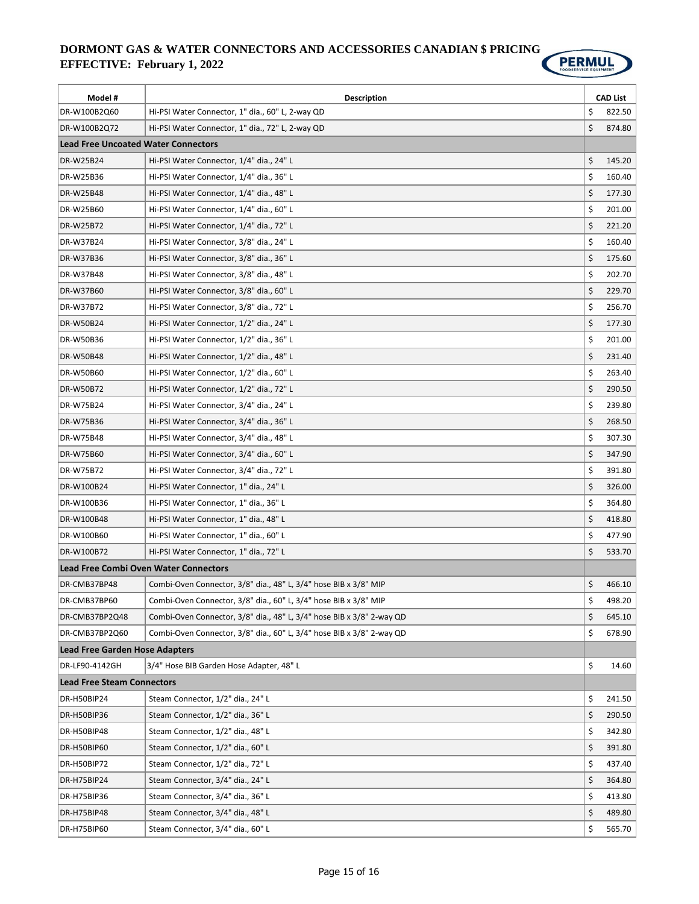

| Model #                                    | <b>Description</b>                                                    |    | <b>CAD List</b> |  |
|--------------------------------------------|-----------------------------------------------------------------------|----|-----------------|--|
| DR-W100B2Q60                               | Hi-PSI Water Connector, 1" dia., 60" L, 2-way QD                      | \$ | 822.50          |  |
| DR-W100B2Q72                               | Hi-PSI Water Connector, 1" dia., 72" L, 2-way QD                      | \$ | 874.80          |  |
| <b>Lead Free Uncoated Water Connectors</b> |                                                                       |    |                 |  |
| <b>DR-W25B24</b>                           | Hi-PSI Water Connector, 1/4" dia., 24" L                              | \$ | 145.20          |  |
| DR-W25B36                                  | Hi-PSI Water Connector, 1/4" dia., 36" L                              | \$ | 160.40          |  |
| DR-W25B48                                  | Hi-PSI Water Connector, 1/4" dia., 48" L                              | \$ | 177.30          |  |
| DR-W25B60                                  | Hi-PSI Water Connector, 1/4" dia., 60" L                              | \$ | 201.00          |  |
| DR-W25B72                                  | Hi-PSI Water Connector, 1/4" dia., 72" L                              | \$ | 221.20          |  |
| DR-W37B24                                  | Hi-PSI Water Connector, 3/8" dia., 24" L                              | \$ | 160.40          |  |
| DR-W37B36                                  | Hi-PSI Water Connector, 3/8" dia., 36" L                              | \$ | 175.60          |  |
| DR-W37B48                                  | Hi-PSI Water Connector, 3/8" dia., 48" L                              | \$ | 202.70          |  |
| DR-W37B60                                  | Hi-PSI Water Connector, 3/8" dia., 60" L                              | \$ | 229.70          |  |
| DR-W37B72                                  | Hi-PSI Water Connector, 3/8" dia., 72" L                              | \$ | 256.70          |  |
| DR-W50B24                                  | Hi-PSI Water Connector, 1/2" dia., 24" L                              | \$ | 177.30          |  |
| DR-W50B36                                  | Hi-PSI Water Connector, 1/2" dia., 36" L                              | \$ | 201.00          |  |
| DR-W50B48                                  | Hi-PSI Water Connector, 1/2" dia., 48" L                              | \$ | 231.40          |  |
| DR-W50B60                                  | Hi-PSI Water Connector, 1/2" dia., 60" L                              | \$ | 263.40          |  |
| DR-W50B72                                  | Hi-PSI Water Connector, 1/2" dia., 72" L                              | \$ | 290.50          |  |
| DR-W75B24                                  | Hi-PSI Water Connector, 3/4" dia., 24" L                              | \$ | 239.80          |  |
| DR-W75B36                                  | Hi-PSI Water Connector, 3/4" dia., 36" L                              | \$ | 268.50          |  |
| DR-W75B48                                  | Hi-PSI Water Connector, 3/4" dia., 48" L                              | \$ | 307.30          |  |
| DR-W75B60                                  | Hi-PSI Water Connector, 3/4" dia., 60" L                              | \$ | 347.90          |  |
| DR-W75B72                                  | Hi-PSI Water Connector, 3/4" dia., 72" L                              | \$ | 391.80          |  |
| DR-W100B24                                 | Hi-PSI Water Connector, 1" dia., 24" L                                | \$ | 326.00          |  |
| DR-W100B36                                 | Hi-PSI Water Connector, 1" dia., 36" L                                | \$ | 364.80          |  |
| DR-W100B48                                 | Hi-PSI Water Connector, 1" dia., 48" L                                | \$ | 418.80          |  |
| DR-W100B60                                 | Hi-PSI Water Connector, 1" dia., 60" L                                | \$ | 477.90          |  |
| DR-W100B72                                 | Hi-PSI Water Connector, 1" dia., 72" L                                | \$ | 533.70          |  |
| Lead Free Combi Oven Water Connectors      |                                                                       |    |                 |  |
| DR-CMB37BP48                               | Combi-Oven Connector, 3/8" dia., 48" L, 3/4" hose BIB x 3/8" MIP      | \$ | 466.10          |  |
| DR-CMB37BP60                               | Combi-Oven Connector, 3/8" dia., 60" L, 3/4" hose BIB x 3/8" MIP      | \$ | 498.20          |  |
| DR-CMB37BP2Q48                             | Combi-Oven Connector, 3/8" dia., 48" L, 3/4" hose BIB x 3/8" 2-way QD | \$ | 645.10          |  |
| DR-CMB37BP2Q60                             | Combi-Oven Connector, 3/8" dia., 60" L, 3/4" hose BIB x 3/8" 2-way QD | \$ | 678.90          |  |
| Lead Free Garden Hose Adapters             |                                                                       |    |                 |  |
| DR-LF90-4142GH                             | 3/4" Hose BIB Garden Hose Adapter, 48" L                              | \$ | 14.60           |  |
| <b>Lead Free Steam Connectors</b>          |                                                                       |    |                 |  |
| DR-H50BIP24                                | Steam Connector, 1/2" dia., 24" L                                     | \$ | 241.50          |  |
| DR-H50BIP36                                | Steam Connector, 1/2" dia., 36" L                                     | \$ | 290.50          |  |
| DR-H50BIP48                                | Steam Connector, 1/2" dia., 48" L                                     | \$ | 342.80          |  |
| DR-H50BIP60                                | Steam Connector, 1/2" dia., 60" L                                     | \$ | 391.80          |  |
| DR-H50BIP72                                | Steam Connector, 1/2" dia., 72" L                                     | \$ | 437.40          |  |
| DR-H75BIP24                                | Steam Connector, 3/4" dia., 24" L                                     | \$ | 364.80          |  |
| DR-H75BIP36                                | Steam Connector, 3/4" dia., 36" L                                     | \$ | 413.80          |  |
| DR-H75BIP48                                | Steam Connector, 3/4" dia., 48" L                                     | \$ | 489.80          |  |
| DR-H75BIP60                                | Steam Connector, 3/4" dia., 60" L                                     | \$ | 565.70          |  |